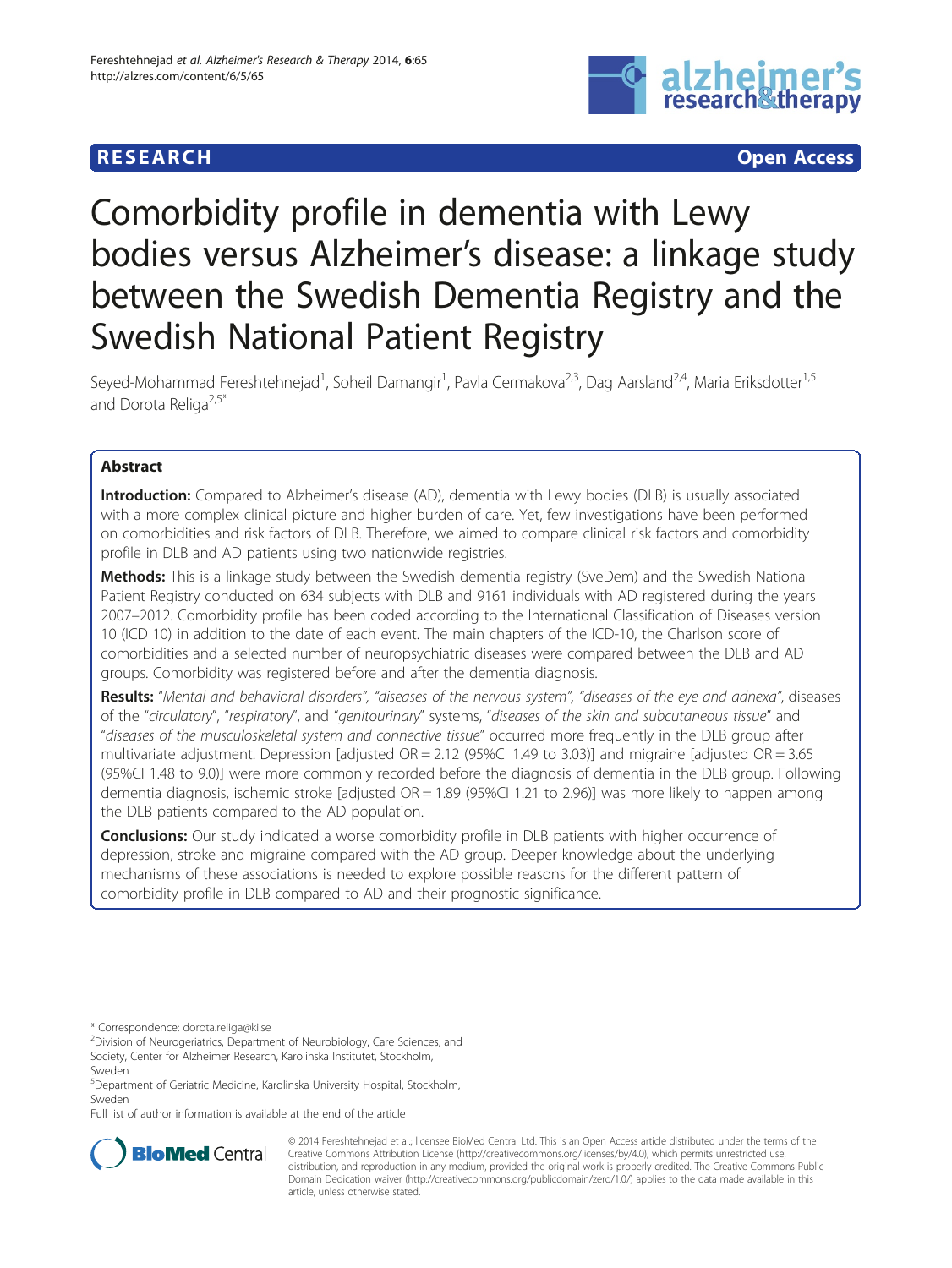# **RESEARCH CHEAR CHEAR CHEAR CHEAR CHEAR CHEAR CHEAR CHEAR CHEAR CHEAR CHEAR CHEAR CHEAR CHEAR CHEAR CHEAR CHEAR**



# Comorbidity profile in dementia with Lewy bodies versus Alzheimer's disease: a linkage study between the Swedish Dementia Registry and the Swedish National Patient Registry

Seyed-Mohammad Fereshtehnejad<sup>1</sup>, Soheil Damangir<sup>1</sup>, Pavla Cermakova<sup>2,3</sup>, Dag Aarsland<sup>2,4</sup>, Maria Eriksdotter<sup>1,5</sup> and Dorota Religa<sup>2,5\*</sup>

# Abstract

Introduction: Compared to Alzheimer's disease (AD), dementia with Lewy bodies (DLB) is usually associated with a more complex clinical picture and higher burden of care. Yet, few investigations have been performed on comorbidities and risk factors of DLB. Therefore, we aimed to compare clinical risk factors and comorbidity profile in DLB and AD patients using two nationwide registries.

Methods: This is a linkage study between the Swedish dementia registry (SveDem) and the Swedish National Patient Registry conducted on 634 subjects with DLB and 9161 individuals with AD registered during the years 2007–2012. Comorbidity profile has been coded according to the International Classification of Diseases version 10 (ICD 10) in addition to the date of each event. The main chapters of the ICD-10, the Charlson score of comorbidities and a selected number of neuropsychiatric diseases were compared between the DLB and AD groups. Comorbidity was registered before and after the dementia diagnosis.

Results: "Mental and behavioral disorders", "diseases of the nervous system", "diseases of the eye and adnexa", diseases of the "circulatory", "respiratory", and "genitourinary" systems, "diseases of the skin and subcutaneous tissue" and "diseases of the musculoskeletal system and connective tissue" occurred more frequently in the DLB group after multivariate adjustment. Depression [adjusted OR = 2.12 (95%CI 1.49 to 3.03)] and migraine [adjusted OR = 3.65 (95%CI 1.48 to 9.0)] were more commonly recorded before the diagnosis of dementia in the DLB group. Following dementia diagnosis, ischemic stroke [adjusted OR = 1.89 (95%CI 1.21 to 2.96)] was more likely to happen among the DLB patients compared to the AD population.

**Conclusions:** Our study indicated a worse comorbidity profile in DLB patients with higher occurrence of depression, stroke and migraine compared with the AD group. Deeper knowledge about the underlying mechanisms of these associations is needed to explore possible reasons for the different pattern of comorbidity profile in DLB compared to AD and their prognostic significance.

\* Correspondence: [dorota.religa@ki.se](mailto:dorota.religa@ki.se) <sup>2</sup>

Full list of author information is available at the end of the article



© 2014 Fereshtehnejad et al.; licensee BioMed Central Ltd. This is an Open Access article distributed under the terms of the Creative Commons Attribution License (<http://creativecommons.org/licenses/by/4.0>), which permits unrestricted use, distribution, and reproduction in any medium, provided the original work is properly credited. The Creative Commons Public Domain Dedication waiver [\(http://creativecommons.org/publicdomain/zero/1.0/\)](http://creativecommons.org/publicdomain/zero/1.0/) applies to the data made available in this article, unless otherwise stated.

<sup>&</sup>lt;sup>2</sup>Division of Neurogeriatrics, Department of Neurobiology, Care Sciences, and Society, Center for Alzheimer Research, Karolinska Institutet, Stockholm, Sweden

<sup>5</sup> Department of Geriatric Medicine, Karolinska University Hospital, Stockholm, Sweden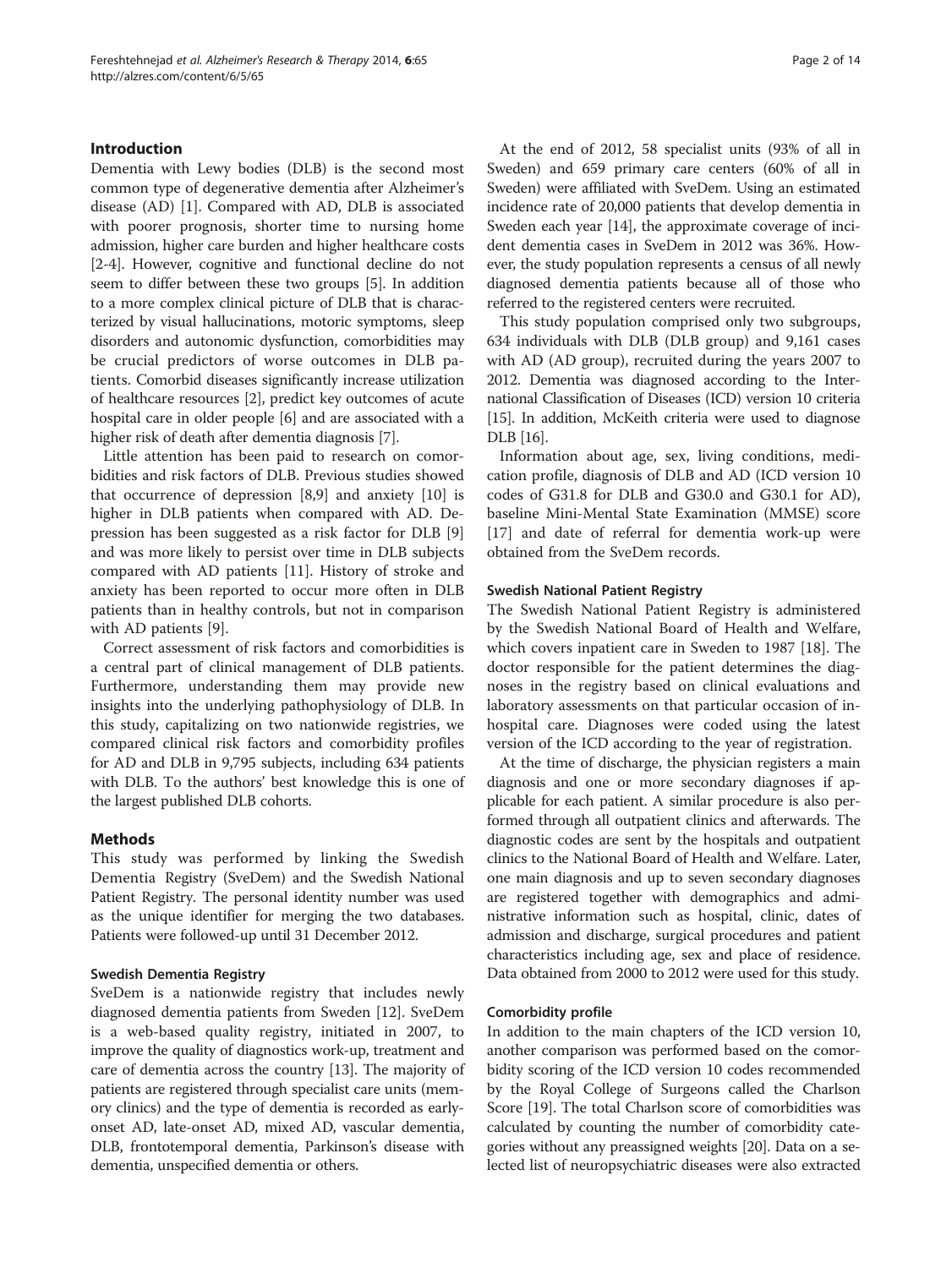# Introduction

Dementia with Lewy bodies (DLB) is the second most common type of degenerative dementia after Alzheimer's disease (AD) [\[1\]](#page-11-0). Compared with AD, DLB is associated with poorer prognosis, shorter time to nursing home admission, higher care burden and higher healthcare costs [[2-4\]](#page-12-0). However, cognitive and functional decline do not seem to differ between these two groups [[5](#page-12-0)]. In addition to a more complex clinical picture of DLB that is characterized by visual hallucinations, motoric symptoms, sleep disorders and autonomic dysfunction, comorbidities may be crucial predictors of worse outcomes in DLB patients. Comorbid diseases significantly increase utilization of healthcare resources [[2\]](#page-12-0), predict key outcomes of acute hospital care in older people [[6\]](#page-12-0) and are associated with a higher risk of death after dementia diagnosis [\[7\]](#page-12-0).

Little attention has been paid to research on comorbidities and risk factors of DLB. Previous studies showed that occurrence of depression [[8,9\]](#page-12-0) and anxiety [[10\]](#page-12-0) is higher in DLB patients when compared with AD. Depression has been suggested as a risk factor for DLB [\[9](#page-12-0)] and was more likely to persist over time in DLB subjects compared with AD patients [[11\]](#page-12-0). History of stroke and anxiety has been reported to occur more often in DLB patients than in healthy controls, but not in comparison with AD patients [[9\]](#page-12-0).

Correct assessment of risk factors and comorbidities is a central part of clinical management of DLB patients. Furthermore, understanding them may provide new insights into the underlying pathophysiology of DLB. In this study, capitalizing on two nationwide registries, we compared clinical risk factors and comorbidity profiles for AD and DLB in 9,795 subjects, including 634 patients with DLB. To the authors' best knowledge this is one of the largest published DLB cohorts.

#### Methods

This study was performed by linking the Swedish Dementia Registry (SveDem) and the Swedish National Patient Registry. The personal identity number was used as the unique identifier for merging the two databases. Patients were followed-up until 31 December 2012.

#### Swedish Dementia Registry

SveDem is a nationwide registry that includes newly diagnosed dementia patients from Sweden [[12](#page-12-0)]. SveDem is a web-based quality registry, initiated in 2007, to improve the quality of diagnostics work-up, treatment and care of dementia across the country [[13\]](#page-12-0). The majority of patients are registered through specialist care units (memory clinics) and the type of dementia is recorded as earlyonset AD, late-onset AD, mixed AD, vascular dementia, DLB, frontotemporal dementia, Parkinson's disease with dementia, unspecified dementia or others.

At the end of 2012, 58 specialist units (93% of all in Sweden) and 659 primary care centers (60% of all in Sweden) were affiliated with SveDem. Using an estimated incidence rate of 20,000 patients that develop dementia in Sweden each year [\[14\]](#page-12-0), the approximate coverage of incident dementia cases in SveDem in 2012 was 36%. However, the study population represents a census of all newly diagnosed dementia patients because all of those who referred to the registered centers were recruited.

This study population comprised only two subgroups, 634 individuals with DLB (DLB group) and 9,161 cases with AD (AD group), recruited during the years 2007 to 2012. Dementia was diagnosed according to the International Classification of Diseases (ICD) version 10 criteria [[15](#page-12-0)]. In addition, McKeith criteria were used to diagnose DLB [\[16\]](#page-12-0).

Information about age, sex, living conditions, medication profile, diagnosis of DLB and AD (ICD version 10 codes of G31.8 for DLB and G30.0 and G30.1 for AD), baseline Mini-Mental State Examination (MMSE) score [[17\]](#page-12-0) and date of referral for dementia work-up were obtained from the SveDem records.

#### Swedish National Patient Registry

The Swedish National Patient Registry is administered by the Swedish National Board of Health and Welfare, which covers inpatient care in Sweden to 1987 [\[18\]](#page-12-0). The doctor responsible for the patient determines the diagnoses in the registry based on clinical evaluations and laboratory assessments on that particular occasion of inhospital care. Diagnoses were coded using the latest version of the ICD according to the year of registration.

At the time of discharge, the physician registers a main diagnosis and one or more secondary diagnoses if applicable for each patient. A similar procedure is also performed through all outpatient clinics and afterwards. The diagnostic codes are sent by the hospitals and outpatient clinics to the National Board of Health and Welfare. Later, one main diagnosis and up to seven secondary diagnoses are registered together with demographics and administrative information such as hospital, clinic, dates of admission and discharge, surgical procedures and patient characteristics including age, sex and place of residence. Data obtained from 2000 to 2012 were used for this study.

#### Comorbidity profile

In addition to the main chapters of the ICD version 10, another comparison was performed based on the comorbidity scoring of the ICD version 10 codes recommended by the Royal College of Surgeons called the Charlson Score [\[19\]](#page-12-0). The total Charlson score of comorbidities was calculated by counting the number of comorbidity categories without any preassigned weights [\[20](#page-12-0)]. Data on a selected list of neuropsychiatric diseases were also extracted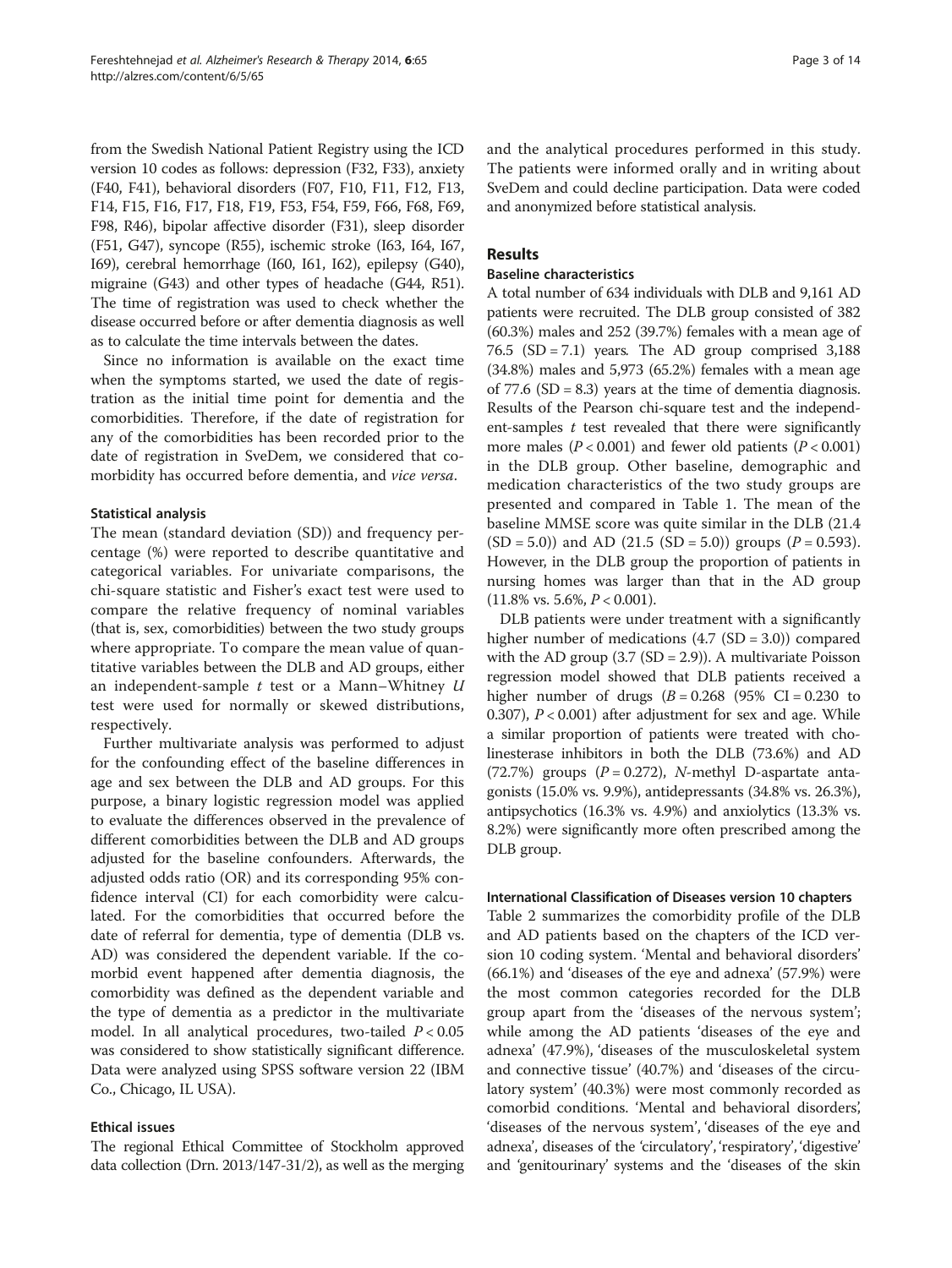from the Swedish National Patient Registry using the ICD version 10 codes as follows: depression (F32, F33), anxiety (F40, F41), behavioral disorders (F07, F10, F11, F12, F13, F14, F15, F16, F17, F18, F19, F53, F54, F59, F66, F68, F69, F98, R46), bipolar affective disorder (F31), sleep disorder (F51, G47), syncope (R55), ischemic stroke (I63, I64, I67, I69), cerebral hemorrhage (I60, I61, I62), epilepsy (G40), migraine (G43) and other types of headache (G44, R51). The time of registration was used to check whether the disease occurred before or after dementia diagnosis as well as to calculate the time intervals between the dates.

Since no information is available on the exact time when the symptoms started, we used the date of registration as the initial time point for dementia and the comorbidities. Therefore, if the date of registration for any of the comorbidities has been recorded prior to the date of registration in SveDem, we considered that comorbidity has occurred before dementia, and vice versa.

# Statistical analysis

The mean (standard deviation (SD)) and frequency percentage (%) were reported to describe quantitative and categorical variables. For univariate comparisons, the chi-square statistic and Fisher's exact test were used to compare the relative frequency of nominal variables (that is, sex, comorbidities) between the two study groups where appropriate. To compare the mean value of quantitative variables between the DLB and AD groups, either an independent-sample  $t$  test or a Mann–Whitney  $U$ test were used for normally or skewed distributions, respectively.

Further multivariate analysis was performed to adjust for the confounding effect of the baseline differences in age and sex between the DLB and AD groups. For this purpose, a binary logistic regression model was applied to evaluate the differences observed in the prevalence of different comorbidities between the DLB and AD groups adjusted for the baseline confounders. Afterwards, the adjusted odds ratio (OR) and its corresponding 95% confidence interval (CI) for each comorbidity were calculated. For the comorbidities that occurred before the date of referral for dementia, type of dementia (DLB vs. AD) was considered the dependent variable. If the comorbid event happened after dementia diagnosis, the comorbidity was defined as the dependent variable and the type of dementia as a predictor in the multivariate model. In all analytical procedures, two-tailed  $P < 0.05$ was considered to show statistically significant difference. Data were analyzed using SPSS software version 22 (IBM Co., Chicago, IL USA).

# Ethical issues

The regional Ethical Committee of Stockholm approved data collection (Drn. 2013/147-31/2), as well as the merging

and the analytical procedures performed in this study. The patients were informed orally and in writing about SveDem and could decline participation. Data were coded and anonymized before statistical analysis.

# Results

# Baseline characteristics

A total number of 634 individuals with DLB and 9,161 AD patients were recruited. The DLB group consisted of 382 (60.3%) males and 252 (39.7%) females with a mean age of 76.5  $(SD = 7.1)$  years. The AD group comprised 3,188 (34.8%) males and 5,973 (65.2%) females with a mean age of  $77.6$  (SD = 8.3) years at the time of dementia diagnosis. Results of the Pearson chi-square test and the independent-samples  $t$  test revealed that there were significantly more males ( $P < 0.001$ ) and fewer old patients ( $P < 0.001$ ) in the DLB group. Other baseline, demographic and medication characteristics of the two study groups are presented and compared in Table [1.](#page-3-0) The mean of the baseline MMSE score was quite similar in the DLB (21.4  $(SD = 5.0)$  and AD  $(21.5 (SD = 5.0))$  groups  $(P = 0.593)$ . However, in the DLB group the proportion of patients in nursing homes was larger than that in the AD group  $(11.8\% \text{ vs. } 5.6\%, P < 0.001).$ 

DLB patients were under treatment with a significantly higher number of medications (4.7 (SD = 3.0)) compared with the AD group  $(3.7 (SD = 2.9))$ . A multivariate Poisson regression model showed that DLB patients received a higher number of drugs  $(B = 0.268 \text{ (95\% CI} = 0.230 \text{ to}$ 0.307),  $P < 0.001$ ) after adjustment for sex and age. While a similar proportion of patients were treated with cholinesterase inhibitors in both the DLB (73.6%) and AD (72.7%) groups  $(P = 0.272)$ , N-methyl D-aspartate antagonists (15.0% vs. 9.9%), antidepressants (34.8% vs. 26.3%), antipsychotics (16.3% vs. 4.9%) and anxiolytics (13.3% vs. 8.2%) were significantly more often prescribed among the DLB group.

# International Classification of Diseases version 10 chapters

Table [2](#page-4-0) summarizes the comorbidity profile of the DLB and AD patients based on the chapters of the ICD version 10 coding system. 'Mental and behavioral disorders' (66.1%) and 'diseases of the eye and adnexa' (57.9%) were the most common categories recorded for the DLB group apart from the 'diseases of the nervous system'; while among the AD patients 'diseases of the eye and adnexa' (47.9%), 'diseases of the musculoskeletal system and connective tissue' (40.7%) and 'diseases of the circulatory system' (40.3%) were most commonly recorded as comorbid conditions. 'Mental and behavioral disorders', 'diseases of the nervous system', 'diseases of the eye and adnexa', diseases of the 'circulatory', 'respiratory', 'digestive' and 'genitourinary' systems and the 'diseases of the skin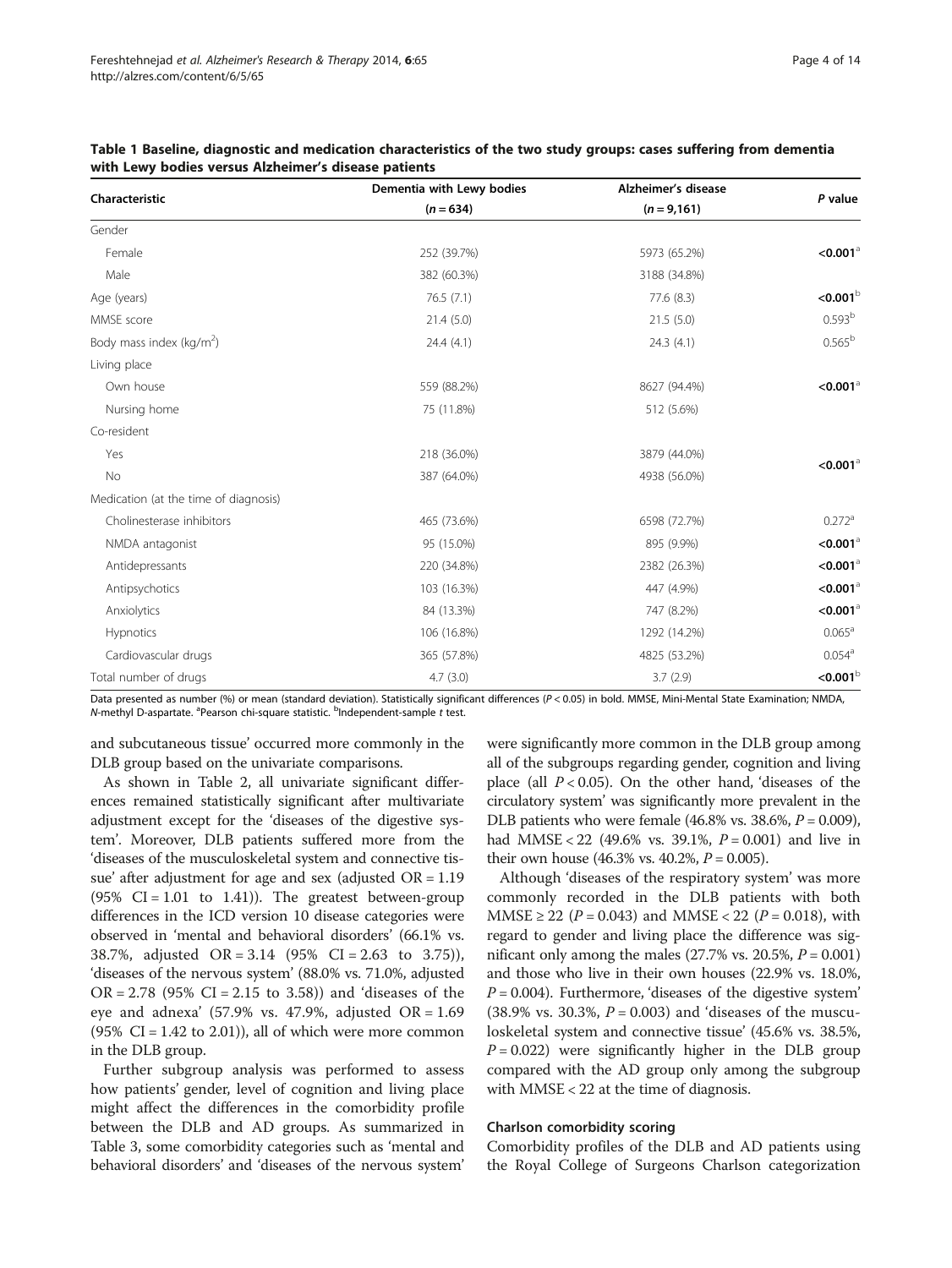| Characteristic                        | Dementia with Lewy bodies | Alzheimer's disease | P value                |
|---------------------------------------|---------------------------|---------------------|------------------------|
|                                       | $(n = 634)$               | $(n = 9, 161)$      |                        |
| Gender                                |                           |                     |                        |
| Female                                | 252 (39.7%)               | 5973 (65.2%)        | $<$ 0.001 $^{\circ}$   |
| Male                                  | 382 (60.3%)               | 3188 (34.8%)        |                        |
| Age (years)                           | 76.5(7.1)                 | 77.6 (8.3)          | $<$ 0.001 $^{\circ}$   |
| MMSE score                            | 21.4(5.0)                 | 21.5(5.0)           | 0.593 <sup>b</sup>     |
| Body mass index (kg/m <sup>2</sup> )  | 24.4(4.1)                 | 24.3(4.1)           | $0.565^{\rm b}$        |
| Living place                          |                           |                     |                        |
| Own house                             | 559 (88.2%)               | 8627 (94.4%)        | $<$ 0.001 $^{\circ}$   |
| Nursing home                          | 75 (11.8%)                | 512 (5.6%)          |                        |
| Co-resident                           |                           |                     |                        |
| Yes                                   | 218 (36.0%)               | 3879 (44.0%)        | $<$ 0.001 $^{\circ}$   |
| No                                    | 387 (64.0%)               | 4938 (56.0%)        |                        |
| Medication (at the time of diagnosis) |                           |                     |                        |
| Cholinesterase inhibitors             | 465 (73.6%)               | 6598 (72.7%)        | $0.272$ <sup>a</sup>   |
| NMDA antagonist                       | 95 (15.0%)                | 895 (9.9%)          | $< 0.001$ <sup>a</sup> |
| Antidepressants                       | 220 (34.8%)               | 2382 (26.3%)        | $<$ 0.001 $^{\circ}$   |
| Antipsychotics                        | 103 (16.3%)               | 447 (4.9%)          | $<$ 0.001 $^{\circ}$   |
| Anxiolytics                           | 84 (13.3%)                | 747 (8.2%)          | $<$ 0.001 $^{\circ}$   |
| Hypnotics                             | 106 (16.8%)               | 1292 (14.2%)        | $0.065^{\text{a}}$     |
| Cardiovascular drugs                  | 365 (57.8%)               | 4825 (53.2%)        | $0.054$ <sup>a</sup>   |
| Total number of drugs                 | 4.7(3.0)                  | 3.7(2.9)            | $<$ 0.001 $^{\circ}$   |

<span id="page-3-0"></span>Table 1 Baseline, diagnostic and medication characteristics of the two study groups: cases suffering from dementia with Lewy bodies versus Alzheimer's disease patients

Data presented as number (%) or mean (standard deviation). Statistically significant differences (P < 0.05) in bold. MMSE, Mini-Mental State Examination; NMDA, N-methyl D-aspartate. <sup>a</sup>Pearson chi-square statistic. <sup>b</sup>Independent-sample t test.

and subcutaneous tissue' occurred more commonly in the DLB group based on the univariate comparisons.

As shown in Table [2](#page-4-0), all univariate significant differences remained statistically significant after multivariate adjustment except for the 'diseases of the digestive system'. Moreover, DLB patients suffered more from the 'diseases of the musculoskeletal system and connective tissue' after adjustment for age and sex (adjusted OR = 1.19  $(95\% \text{ CI} = 1.01 \text{ to } 1.41)$ . The greatest between-group differences in the ICD version 10 disease categories were observed in 'mental and behavioral disorders' (66.1% vs. 38.7%, adjusted OR = 3.14  $(95\% \text{ CI} = 2.63 \text{ to } 3.75)$ ), 'diseases of the nervous system' (88.0% vs. 71.0%, adjusted  $OR = 2.78$  (95%  $CI = 2.15$  to 3.58)) and 'diseases of the eye and adnexa'  $(57.9\% \text{ vs. } 47.9\% \text{ adjusted } OR = 1.69)$ (95%  $CI = 1.42$  to 2.01)), all of which were more common in the DLB group.

Further subgroup analysis was performed to assess how patients' gender, level of cognition and living place might affect the differences in the comorbidity profile between the DLB and AD groups. As summarized in Table [3](#page-5-0), some comorbidity categories such as 'mental and behavioral disorders' and 'diseases of the nervous system' were significantly more common in the DLB group among all of the subgroups regarding gender, cognition and living place (all  $P < 0.05$ ). On the other hand, 'diseases of the circulatory system' was significantly more prevalent in the DLB patients who were female  $(46.8\% \text{ vs. } 38.6\%, P = 0.009)$ , had MMSE < 22 (49.6% vs. 39.1%,  $P = 0.001$ ) and live in their own house  $(46.3\% \text{ vs. } 40.2\%, P = 0.005)$ .

Although 'diseases of the respiratory system' was more commonly recorded in the DLB patients with both MMSE ≥ 22 (*P* = 0.043) and MMSE < 22 (*P* = 0.018), with regard to gender and living place the difference was significant only among the males  $(27.7\% \text{ vs. } 20.5\%, P = 0.001)$ and those who live in their own houses (22.9% vs. 18.0%,  $P = 0.004$ ). Furthermore, 'diseases of the digestive system'  $(38.9\% \text{ vs. } 30.3\%, P = 0.003)$  and 'diseases of the musculoskeletal system and connective tissue' (45.6% vs. 38.5%,  $P = 0.022$ ) were significantly higher in the DLB group compared with the AD group only among the subgroup with MMSE < 22 at the time of diagnosis.

#### Charlson comorbidity scoring

Comorbidity profiles of the DLB and AD patients using the Royal College of Surgeons Charlson categorization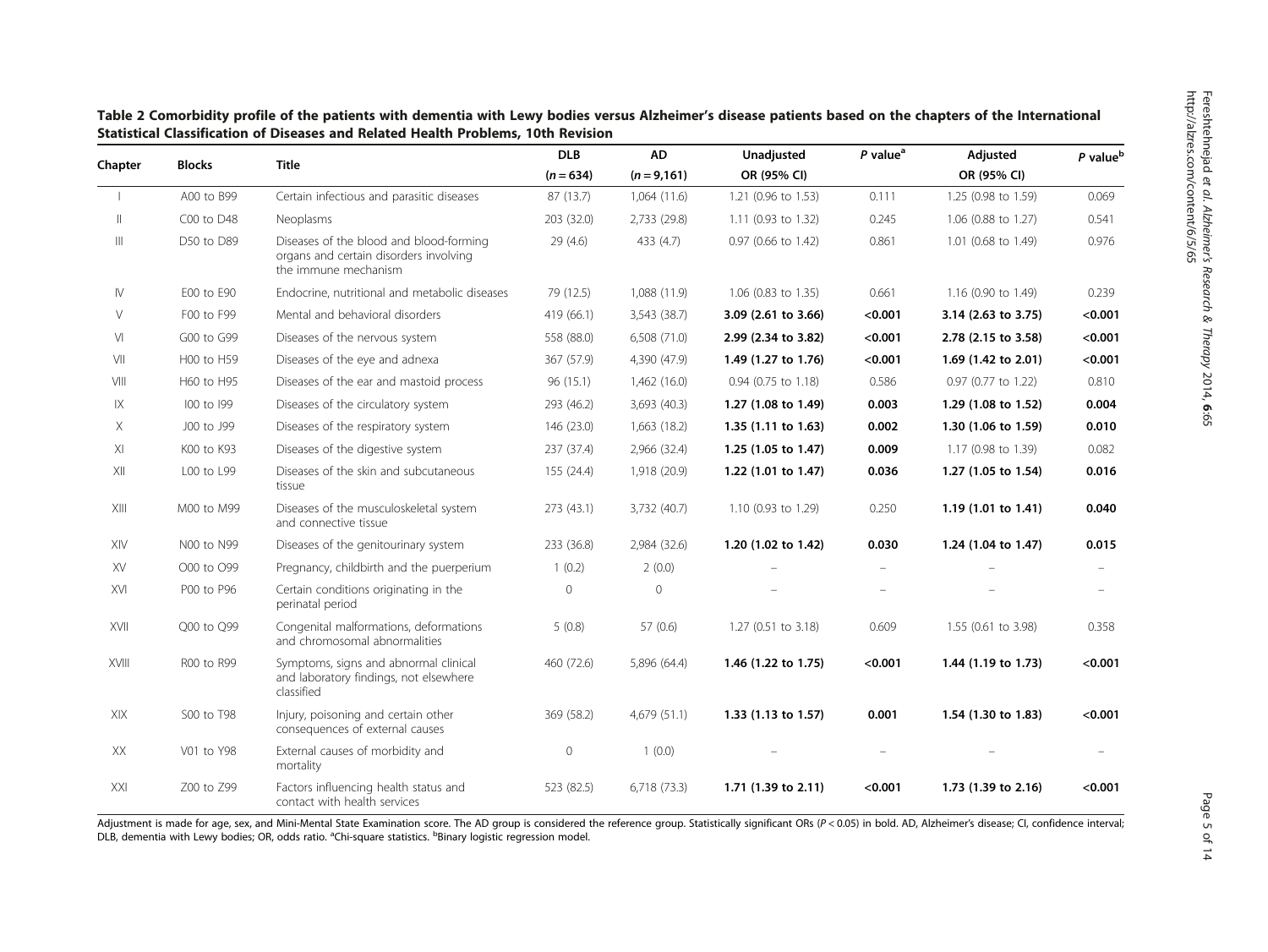|                       |               |                                                                                                           | <b>DLB</b>  | <b>AD</b>      | Unadjusted          | $P$ value <sup>a</sup> | Adjusted            | P value <sup>b</sup> |
|-----------------------|---------------|-----------------------------------------------------------------------------------------------------------|-------------|----------------|---------------------|------------------------|---------------------|----------------------|
| Chapter               | <b>Blocks</b> | <b>Title</b>                                                                                              | $(n = 634)$ | $(n = 9, 161)$ | OR (95% CI)         |                        | OR (95% CI)         |                      |
|                       | A00 to B99    | Certain infectious and parasitic diseases                                                                 | 87 (13.7)   | 1,064(11.6)    | 1.21 (0.96 to 1.53) | 0.111                  | 1.25 (0.98 to 1.59) | 0.069                |
| $\parallel$           | C00 to D48    | Neoplasms                                                                                                 | 203 (32.0)  | 2,733 (29.8)   | 1.11 (0.93 to 1.32) | 0.245                  | 1.06 (0.88 to 1.27) | 0.541                |
| $\parallel \parallel$ | D50 to D89    | Diseases of the blood and blood-forming<br>organs and certain disorders involving<br>the immune mechanism | 29(4.6)     | 433 (4.7)      | 0.97 (0.66 to 1.42) | 0.861                  | 1.01 (0.68 to 1.49) | 0.976                |
| IV                    | E00 to E90    | Endocrine, nutritional and metabolic diseases                                                             | 79 (12.5)   | 1,088 (11.9)   | 1.06 (0.83 to 1.35) | 0.661                  | 1.16 (0.90 to 1.49) | 0.239                |
| V                     | F00 to F99    | Mental and behavioral disorders                                                                           | 419 (66.1)  | 3,543 (38.7)   | 3.09 (2.61 to 3.66) | < 0.001                | 3.14 (2.63 to 3.75) | < 0.001              |
| VI                    | G00 to G99    | Diseases of the nervous system                                                                            | 558 (88.0)  | 6,508(71.0)    | 2.99 (2.34 to 3.82) | < 0.001                | 2.78 (2.15 to 3.58) | < 0.001              |
| VII                   | H00 to H59    | Diseases of the eye and adnexa                                                                            | 367 (57.9)  | 4,390 (47.9)   | 1.49 (1.27 to 1.76) | < 0.001                | 1.69 (1.42 to 2.01) | < 0.001              |
| VIII                  | H60 to H95    | Diseases of the ear and mastoid process                                                                   | 96 (15.1)   | 1,462 (16.0)   | 0.94 (0.75 to 1.18) | 0.586                  | 0.97 (0.77 to 1.22) | 0.810                |
| $\mathsf{IX}$         | 100 to 199    | Diseases of the circulatory system                                                                        | 293 (46.2)  | 3,693 (40.3)   | 1.27 (1.08 to 1.49) | 0.003                  | 1.29 (1.08 to 1.52) | 0.004                |
| Χ                     | J00 to J99    | Diseases of the respiratory system                                                                        | 146 (23.0)  | 1,663(18.2)    | 1.35 (1.11 to 1.63) | 0.002                  | 1.30 (1.06 to 1.59) | 0.010                |
| $X \mid$              | K00 to K93    | Diseases of the digestive system                                                                          | 237 (37.4)  | 2,966 (32.4)   | 1.25 (1.05 to 1.47) | 0.009                  | 1.17 (0.98 to 1.39) | 0.082                |
| XII                   | L00 to L99    | Diseases of the skin and subcutaneous<br>tissue                                                           | 155(24.4)   | 1,918 (20.9)   | 1.22 (1.01 to 1.47) | 0.036                  | 1.27 (1.05 to 1.54) | 0.016                |
| XIII                  | M00 to M99    | Diseases of the musculoskeletal system<br>and connective tissue                                           | 273(43.1)   | 3,732 (40.7)   | 1.10 (0.93 to 1.29) | 0.250                  | 1.19 (1.01 to 1.41) | 0.040                |
| XIV                   | N00 to N99    | Diseases of the genitourinary system                                                                      | 233 (36.8)  | 2,984 (32.6)   | 1.20 (1.02 to 1.42) | 0.030                  | 1.24 (1.04 to 1.47) | 0.015                |
| XV                    | O00 to O99    | Pregnancy, childbirth and the puerperium                                                                  | 1(0.2)      | 2(0.0)         |                     |                        |                     |                      |
| XVI                   | P00 to P96    | Certain conditions originating in the<br>perinatal period                                                 | $\mathbf 0$ | $\mathbf{0}$   |                     |                        |                     |                      |
| XVII                  | Q00 to Q99    | Congenital malformations, deformations<br>and chromosomal abnormalities                                   | 5(0.8)      | 57(0.6)        | 1.27 (0.51 to 3.18) | 0.609                  | 1.55 (0.61 to 3.98) | 0.358                |
| XVIII                 | R00 to R99    | Symptoms, signs and abnormal clinical<br>and laboratory findings, not elsewhere<br>classified             | 460 (72.6)  | 5,896 (64.4)   | 1.46 (1.22 to 1.75) | < 0.001                | 1.44 (1.19 to 1.73) | < 0.001              |
| XIX                   | S00 to T98    | Injury, poisoning and certain other<br>consequences of external causes                                    | 369 (58.2)  | 4.679(51.1)    | 1.33 (1.13 to 1.57) | 0.001                  | 1.54 (1.30 to 1.83) | < 0.001              |

0 1 (0.0) ––––

523 (82.5) 6.718 (73.3) **1.71 (1.39 to 2.11) <0.001 1.73 (1.39 to 2.16) <0.001** 

<span id="page-4-0"></span>Table 2 Comorbidity profile of the patients with dementia with Lewy bodies versus Alzheimer's disease patients based on the chapters of the International Statistical Classification of Diseases and Related Health Problems, 10th Revision

Adjustment is made for age, sex, and Mini-Mental State Examination score. The AD group is considered the reference group. Statistically significant ORs (P < 0.05) in bold. AD, Alzheimer's disease; CI, confidence interval; DLB, dementia with Lewy bodies; OR, odds ratio. <sup>a</sup>Chi-square statistics. <sup>b</sup>Binary logistic regression model.

contact with health services

XX V01 to Y98 External causes of morbidity and mortality

XXI Z00 to Z99 Factors influencing health status and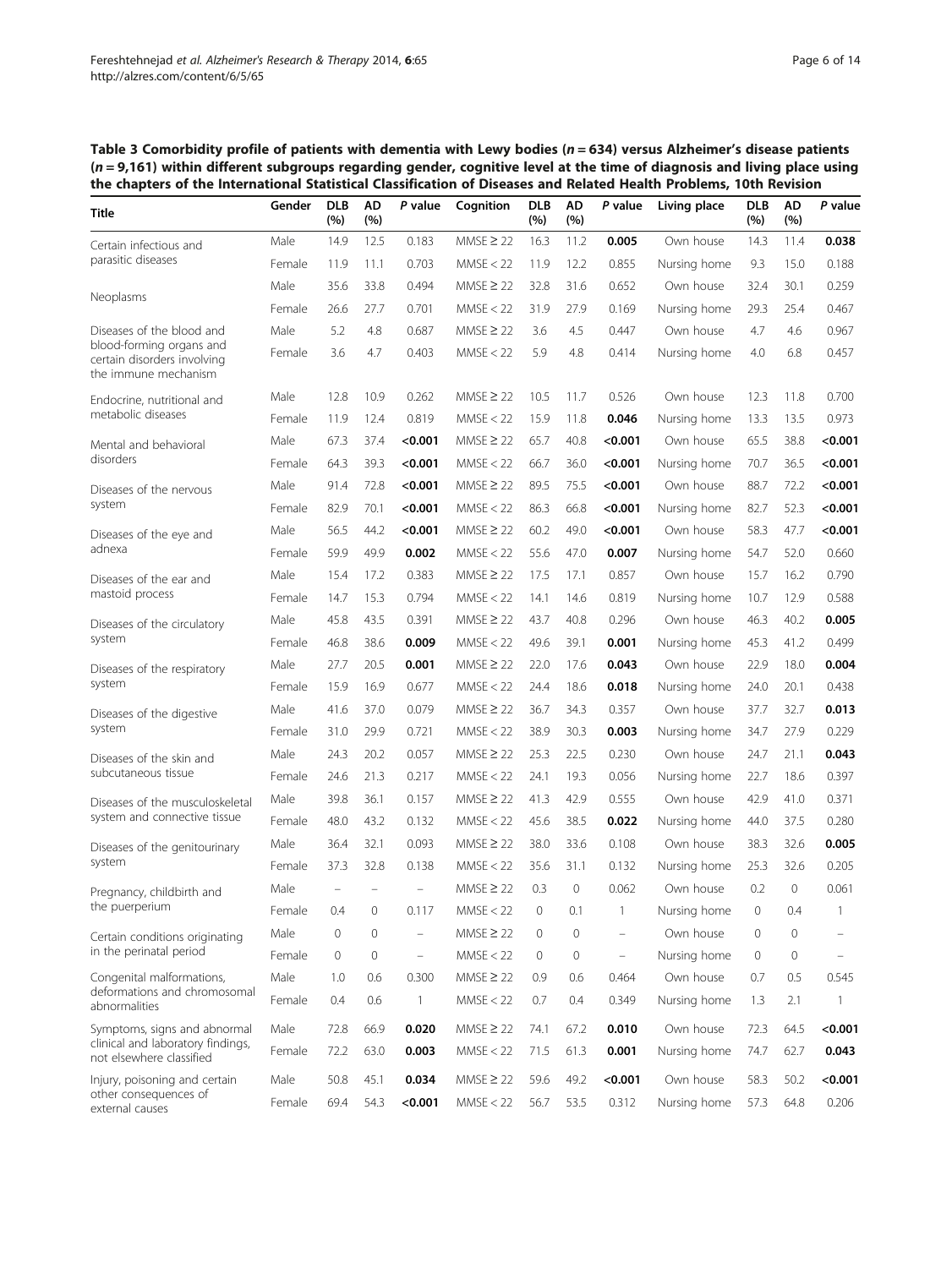<span id="page-5-0"></span>Table 3 Comorbidity profile of patients with dementia with Lewy bodies ( $n = 634$ ) versus Alzheimer's disease patients  $(n = 9.161)$  within different subgroups regarding gender, cognitive level at the time of diagnosis and living place using the chapters of the International Statistical Classification of Diseases and Related Health Problems, 10th Revision

| Title                                                                           | Gender | <b>DLB</b><br>(%) | AD<br>(%)   | P value                  | Cognition      | <b>DLB</b><br>(%) | AD<br>(%)      | P value                           | Living place   | <b>DLB</b><br>(%) | AD<br>(%)           | P value        |
|---------------------------------------------------------------------------------|--------|-------------------|-------------|--------------------------|----------------|-------------------|----------------|-----------------------------------|----------------|-------------------|---------------------|----------------|
| Certain infectious and                                                          | Male   | 14.9              | 12.5        | 0.183                    | $MMSE \geq 22$ | 16.3              | 11.2           | 0.005                             | Own house      | 14.3              | 11.4                | 0.038          |
| parasitic diseases                                                              | Female | 11.9              | 11.1        | 0.703                    | MMSE < 22      | 11.9              | 12.2           | 0.855                             | Nursing home   | 9.3               | 15.0                | 0.188          |
|                                                                                 | Male   | 35.6              | 33.8        | 0.494                    | $MMSE \geq 22$ | 32.8              | 31.6           | 0.652                             | Own house      | 32.4              | 30.1                | 0.259          |
| Neoplasms                                                                       | Female | 26.6              | 27.7        | 0.701                    | MMSE < 22      | 31.9              | 27.9           | 0.169                             | Nursing home   | 29.3              | 25.4                | 0.467          |
| Diseases of the blood and                                                       | Male   | 5.2               | 4.8         | 0.687                    | $MMSE \geq 22$ | 3.6               | 4.5            | 0.447                             | Own house      | 4.7               | 4.6                 | 0.967          |
| blood-forming organs and<br>certain disorders involving<br>the immune mechanism | Female | 3.6               | 4.7         | 0.403                    | MMSE < 22      | 5.9               | 4.8            | 0.414                             | Nursing home   | 4.0               | 6.8                 | 0.457          |
| Endocrine, nutritional and                                                      | Male   | 12.8              | 10.9        | 0.262                    | $MMSE \geq 22$ | 10.5              | 11.7           | 0.526                             | Own house      | 12.3              | 11.8                | 0.700          |
| metabolic diseases                                                              | Female | 11.9              | 12.4        | 0.819                    | MMSE < 22      | 15.9              | 11.8           | 0.046                             | Nursing home   | 13.3              | 13.5                | 0.973          |
| Mental and behavioral                                                           | Male   | 67.3              | 37.4        | < 0.001                  | $MMSE \geq 22$ | 65.7              | 40.8           | < 0.001                           | Own house      | 65.5              | 38.8                | < 0.001        |
| disorders                                                                       | Female | 64.3              | 39.3        | < 0.001                  | MMSE < 22      | 66.7              | 36.0           | < 0.001                           | Nursing home   | 70.7              | 36.5                | < 0.001        |
| Diseases of the nervous                                                         | Male   | 91.4              | 72.8        | < 0.001                  | $MMSE \geq 22$ | 89.5              | 75.5           | < 0.001                           | Own house      | 88.7              | 72.2                | < 0.001        |
| system                                                                          | Female | 82.9              | 70.1        | < 0.001                  | MMSE < 22      | 86.3              | 66.8           | < 0.001                           | Nursing home   | 82.7              | 52.3                | < 0.001        |
| Diseases of the eye and                                                         | Male   | 56.5              | 44.2        | < 0.001                  | $MMSE \geq 22$ | 60.2              | 49.0           | < 0.001                           | Own house      | 58.3              | 47.7                | < 0.001        |
| adnexa                                                                          | Female | 59.9              | 49.9        | 0.002                    | MMSE < 22      | 55.6              | 47.0           | 0.007                             | Nursing home   | 54.7              | 52.0                | 0.660          |
| Diseases of the ear and                                                         | Male   | 15.4              | 17.2        | 0.383                    | $MMSE \geq 22$ | 17.5              | 17.1           | 0.857                             | Own house      | 15.7              | 16.2                | 0.790          |
| mastoid process                                                                 | Female | 14.7              | 15.3        | 0.794                    | MMSE < 22      | 14.1              | 14.6           | 0.819                             | Nursing home   | 10.7              | 12.9                | 0.588          |
| Diseases of the circulatory                                                     | Male   | 45.8              | 43.5        | 0.391                    | $MMSE \geq 22$ | 43.7              | 40.8           | 0.296                             | Own house      | 46.3              | 40.2                | 0.005          |
| system                                                                          | Female | 46.8              | 38.6        | 0.009                    | MMSE < 22      | 49.6              | 39.1           | 0.001                             | Nursing home   | 45.3              | 41.2                | 0.499          |
| Diseases of the respiratory                                                     | Male   | 27.7              | 20.5        | 0.001                    | $MMSE \geq 22$ | 22.0              | 17.6           | 0.043                             | Own house      | 22.9              | 18.0                | 0.004          |
| system                                                                          | Female | 15.9              | 16.9        | 0.677                    | MMSE < 22      | 24.4              | 18.6           | 0.018                             | Nursing home   | 24.0              | 20.1                | 0.438          |
| Diseases of the digestive                                                       | Male   | 41.6              | 37.0        | 0.079                    | $MMSE \geq 22$ | 36.7              | 34.3           | 0.357                             | Own house      | 37.7              | 32.7                | 0.013          |
| system                                                                          | Female | 31.0              | 29.9        | 0.721                    | MMSE < 22      | 38.9              | 30.3           | 0.003                             | Nursing home   | 34.7              | 27.9                | 0.229          |
| Diseases of the skin and                                                        | Male   | 24.3              | 20.2        | 0.057                    | MMSE $\geq$ 22 | 25.3              | 22.5           | 0.230                             | Own house      | 24.7              | 21.1                | 0.043          |
| subcutaneous tissue                                                             | Female | 24.6              | 21.3        | 0.217                    | MMSE < 22      | 24.1              | 19.3           | 0.056                             | Nursing home   | 22.7              | 18.6                | 0.397          |
| Diseases of the musculoskeletal                                                 | Male   | 39.8              | 36.1        | 0.157                    | $MMSE \geq 22$ | 41.3              | 42.9           | 0.555                             | Own house      | 42.9              | 41.0                | 0.371          |
| system and connective tissue                                                    | Female | 48.0              | 43.2        | 0.132                    | MMSE < 22      | 45.6              | 38.5           | 0.022                             | Nursing home   | 44.0              | 37.5                | 0.280          |
| Diseases of the genitourinary                                                   | Male   | 36.4              | 32.1        | 0.093                    | $MMSE \geq 22$ | 38.0              | 33.6           | 0.108                             | Own house      | 38.3              | 32.6                | 0.005          |
| system                                                                          | Female | 37.3              | 32.8        | 0.138                    | MMSE < 22      | 35.6              | 31.1           | 0.132                             | Nursing home   | 25.3              | 32.6                | 0.205          |
| Pregnancy, childbirth and                                                       | Male   | $\qquad \qquad -$ |             | $\overline{\phantom{0}}$ | $MMSE \geq 22$ | 0.3               | $\overline{0}$ | 0.062                             | Own house      | 0.2               | $\overline{0}$      | 0.061          |
| the puerperium                                                                  | Female | 0.4               | $\circ$     | 0.117                    | $MMSE < 22$ 0  |                   | 0.1            |                                   | Nursing home 0 |                   | 0.4                 | $\overline{1}$ |
| Certain conditions originating                                                  | Male   | 0                 | 0           | $\qquad \qquad -$        | $MMSE \geq 22$ | $\mathbf 0$       | 0              |                                   | Own house      | $\mathbf 0$       | 0                   |                |
| in the perinatal period                                                         | Female | $\mathbb O$       | $\mathbf 0$ | $\equiv$                 | MMSE < 22      | $\mathbf 0$       | $\mathbf 0$    | $\hspace{1.0cm} - \hspace{1.0cm}$ | Nursing home   | $\circ$           | $\mathsf{O}\xspace$ |                |
| Congenital malformations,                                                       | Male   | 1.0               | 0.6         | 0.300                    | $MMSE \geq 22$ | 0.9               | 0.6            | 0.464                             | Own house      | 0.7               | 0.5                 | 0.545          |
| deformations and chromosomal<br>abnormalities                                   | Female | 0.4               | 0.6         | $\overline{\phantom{a}}$ | MMSE < 22      | 0.7               | 0.4            | 0.349                             | Nursing home   | 1.3               | 2.1                 | 1              |
| Symptoms, signs and abnormal                                                    | Male   | 72.8              | 66.9        | 0.020                    | $MMSE \geq 22$ | 74.1              | 67.2           | 0.010                             | Own house      | 72.3              | 64.5                | < 0.001        |
| clinical and laboratory findings,<br>not elsewhere classified                   | Female | 72.2              | 63.0        | 0.003                    | MMSE < 22      | 71.5              | 61.3           | 0.001                             | Nursing home   | 74.7              | 62.7                | 0.043          |
| Injury, poisoning and certain                                                   | Male   | 50.8              | 45.1        | 0.034                    | $MMSE \geq 22$ | 59.6              | 49.2           | < 0.001                           | Own house      | 58.3              | 50.2                | < 0.001        |
| other consequences of<br>external causes                                        | Female | 69.4              | 54.3        | < 0.001                  | MMSE < 22      | 56.7              | 53.5           | 0.312                             | Nursing home   | 57.3              | 64.8                | 0.206          |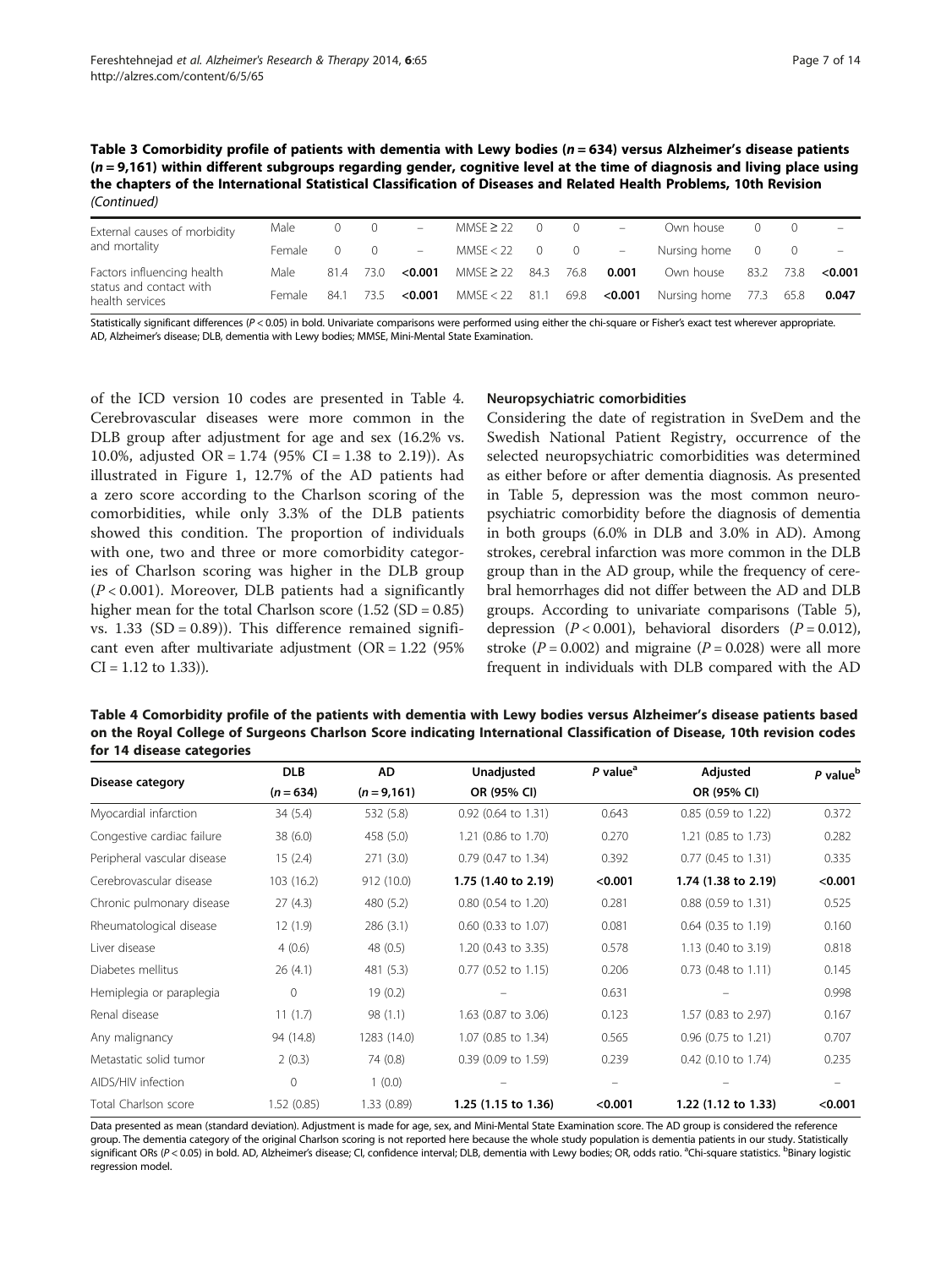Table 3 Comorbidity profile of patients with dementia with Lewy bodies ( $n = 634$ ) versus Alzheimer's disease patients  $(n = 9,161)$  within different subgroups regarding gender, cognitive level at the time of diagnosis and living place using the chapters of the International Statistical Classification of Diseases and Related Health Problems, 10th Revision (Continued)

| External causes of morbidity<br>and mortality | Male   | 0         |                                     | $\equiv$  | $MMSE \geq 22$ 0         | $\overline{0}$ | $\overline{\phantom{a}}$ | Own house                                          |           | -                        |
|-----------------------------------------------|--------|-----------|-------------------------------------|-----------|--------------------------|----------------|--------------------------|----------------------------------------------------|-----------|--------------------------|
|                                               | Female |           | $\begin{matrix} 0 & 0 \end{matrix}$ | $\sim$    | $MMSE < 22$ 0 0 $-$      |                |                          | Nursing home 0 0                                   |           | $\overline{\phantom{m}}$ |
| Factors influencing health                    | Male   | 81.4 73.0 |                                     | < 0.001   | MMSE $\geq$ 22 84.3 76.8 |                | 0.001                    | Own house                                          | 83.2 73.8 | < 0.001                  |
| status and contact with<br>health services    | Female | 84.1      | 73.5                                | $<$ 0.001 |                          |                |                          | MMSE < 22 81.1 69.8 < 0.001 Nursing home 77.3 65.8 |           | 0.047                    |

Statistically significant differences (P < 0.05) in bold. Univariate comparisons were performed using either the chi-square or Fisher's exact test wherever appropriate. AD, Alzheimer's disease; DLB, dementia with Lewy bodies; MMSE, Mini-Mental State Examination.

of the ICD version 10 codes are presented in Table 4. Cerebrovascular diseases were more common in the DLB group after adjustment for age and sex (16.2% vs. 10.0%, adjusted OR = 1.74 (95% CI = 1.38 to 2.19)). As illustrated in Figure [1](#page-7-0), 12.7% of the AD patients had a zero score according to the Charlson scoring of the comorbidities, while only 3.3% of the DLB patients showed this condition. The proportion of individuals with one, two and three or more comorbidity categories of Charlson scoring was higher in the DLB group  $(P < 0.001)$ . Moreover, DLB patients had a significantly higher mean for the total Charlson score (1.52 (SD = 0.85) vs.  $1.33$  (SD = 0.89)). This difference remained significant even after multivariate adjustment (OR = 1.22 (95%  $CI = 1.12$  to 1.33)).

#### Neuropsychiatric comorbidities

Considering the date of registration in SveDem and the Swedish National Patient Registry, occurrence of the selected neuropsychiatric comorbidities was determined as either before or after dementia diagnosis. As presented in Table [5](#page-8-0), depression was the most common neuropsychiatric comorbidity before the diagnosis of dementia in both groups (6.0% in DLB and 3.0% in AD). Among strokes, cerebral infarction was more common in the DLB group than in the AD group, while the frequency of cerebral hemorrhages did not differ between the AD and DLB groups. According to univariate comparisons (Table [5](#page-8-0)), depression  $(P < 0.001)$ , behavioral disorders  $(P = 0.012)$ , stroke ( $P = 0.002$ ) and migraine ( $P = 0.028$ ) were all more frequent in individuals with DLB compared with the AD

Table 4 Comorbidity profile of the patients with dementia with Lewy bodies versus Alzheimer's disease patients based on the Royal College of Surgeons Charlson Score indicating International Classification of Disease, 10th revision codes for 14 disease categories

|                             | <b>DLB</b>  | AD          | Unadjusted            | P value <sup>a</sup> | Adjusted              | P value <sup>b</sup> |  |
|-----------------------------|-------------|-------------|-----------------------|----------------------|-----------------------|----------------------|--|
| Disease category            | $(n = 634)$ | $(n=9,161)$ | OR (95% CI)           |                      | OR (95% CI)           |                      |  |
| Myocardial infarction       | 34(5.4)     | 532 (5.8)   | 0.92 (0.64 to 1.31)   | 0.643                | 0.85 (0.59 to 1.22)   | 0.372                |  |
| Congestive cardiac failure  | 38(6.0)     | 458 (5.0)   | 1.21 (0.86 to 1.70)   | 0.270                | 1.21 (0.85 to 1.73)   | 0.282                |  |
| Peripheral vascular disease | 15(2.4)     | 271(3.0)    | 0.79 (0.47 to 1.34)   | 0.392                | 0.77 (0.45 to 1.31)   | 0.335                |  |
| Cerebrovascular disease     | 103(16.2)   | 912 (10.0)  | 1.75 (1.40 to 2.19)   | < 0.001              | 1.74 (1.38 to 2.19)   | < 0.001              |  |
| Chronic pulmonary disease   | 27(4.3)     | 480 (5.2)   | 0.80 (0.54 to 1.20)   | 0.281                | 0.88 (0.59 to 1.31)   | 0.525                |  |
| Rheumatological disease     | 12(1.9)     | 286(3.1)    | 0.60 (0.33 to 1.07)   | 0.081                | $0.64$ (0.35 to 1.19) | 0.160                |  |
| Liver disease               | 4(0.6)      | 48 (0.5)    | 1.20 (0.43 to 3.35)   | 0.578                | 1.13 (0.40 to 3.19)   | 0.818                |  |
| Diabetes mellitus           | 26(4.1)     | 481 (5.3)   | $0.77$ (0.52 to 1.15) | 0.206                | $0.73$ (0.48 to 1.11) | 0.145                |  |
| Hemiplegia or paraplegia    | 0           | 19(0.2)     |                       | 0.631                |                       | 0.998                |  |
| Renal disease               | 11(1.7)     | 98 (1.1)    | 1.63 (0.87 to 3.06)   | 0.123                | 1.57 (0.83 to 2.97)   | 0.167                |  |
| Any malignancy              | 94 (14.8)   | 1283 (14.0) | 1.07 (0.85 to 1.34)   | 0.565                | 0.96 (0.75 to 1.21)   | 0.707                |  |
| Metastatic solid tumor      | 2(0.3)      | 74 (0.8)    | 0.39 (0.09 to 1.59)   | 0.239                | 0.42 (0.10 to 1.74)   | 0.235                |  |
| AIDS/HIV infection          | $\Omega$    | 1(0.0)      |                       |                      |                       |                      |  |
| Total Charlson score        | 1.52(0.85)  | 1.33 (0.89) | 1.25 (1.15 to 1.36)   | < 0.001              | 1.22 (1.12 to 1.33)   | < 0.001              |  |

Data presented as mean (standard deviation). Adjustment is made for age, sex, and Mini-Mental State Examination score. The AD group is considered the reference group. The dementia category of the original Charlson scoring is not reported here because the whole study population is dementia patients in our study. Statistically significant ORs (P < 0.05) in bold. AD, Alzheimer's disease; Cl, confidence interval; DLB, dementia with Lewy bodies; OR, odds ratio. <sup>a</sup>Chi-square statistics. <sup>b</sup>Binary logistic regression model.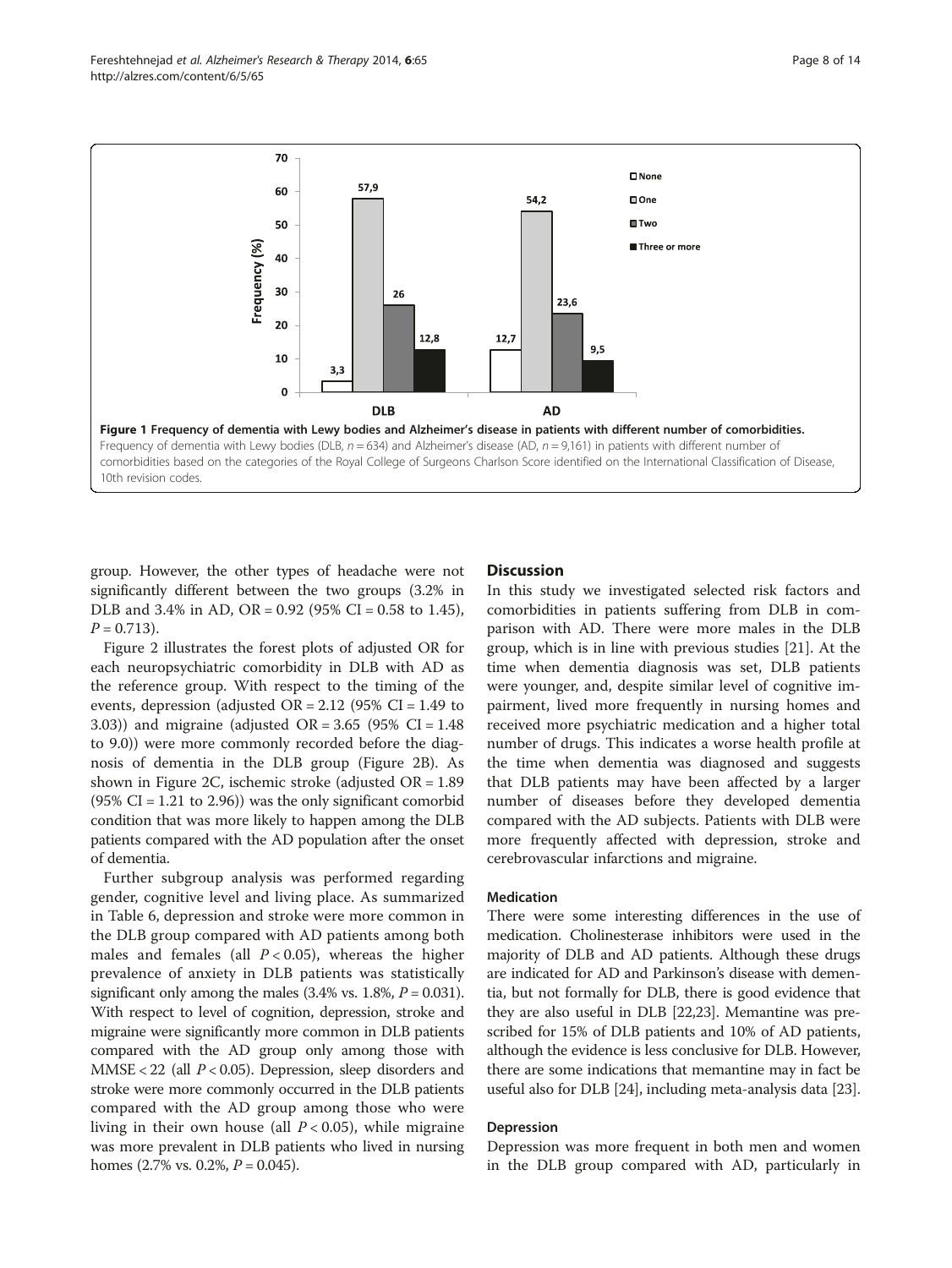group. However, the other types of headache were not significantly different between the two groups (3.2% in DLB and 3.4% in AD, OR = 0.92 (95% CI = 0.58 to 1.45),  $P = 0.713$ .

Figure [2](#page-9-0) illustrates the forest plots of adjusted OR for each neuropsychiatric comorbidity in DLB with AD as the reference group. With respect to the timing of the events, depression (adjusted  $OR = 2.12$  (95%  $CI = 1.49$  to 3.03)) and migraine (adjusted OR =  $3.65$  (95% CI =  $1.48$ ) to 9.0)) were more commonly recorded before the diagnosis of dementia in the DLB group (Figure [2](#page-9-0)B). As shown in Figure [2](#page-9-0)C, ischemic stroke (adjusted OR = 1.89  $(95\% \text{ CI} = 1.21 \text{ to } 2.96)$  was the only significant comorbid condition that was more likely to happen among the DLB patients compared with the AD population after the onset of dementia.

Further subgroup analysis was performed regarding gender, cognitive level and living place. As summarized in Table [6,](#page-10-0) depression and stroke were more common in the DLB group compared with AD patients among both males and females (all  $P < 0.05$ ), whereas the higher prevalence of anxiety in DLB patients was statistically significant only among the males  $(3.4\% \text{ vs. } 1.8\%, P = 0.031).$ With respect to level of cognition, depression, stroke and migraine were significantly more common in DLB patients compared with the AD group only among those with MMSE < 22 (all P < 0.05). Depression, sleep disorders and stroke were more commonly occurred in the DLB patients compared with the AD group among those who were living in their own house (all  $P < 0.05$ ), while migraine was more prevalent in DLB patients who lived in nursing homes  $(2.7\% \text{ vs. } 0.2\%, P = 0.045)$ .

#### **Discussion**

In this study we investigated selected risk factors and comorbidities in patients suffering from DLB in comparison with AD. There were more males in the DLB group, which is in line with previous studies [\[21\]](#page-12-0). At the time when dementia diagnosis was set, DLB patients were younger, and, despite similar level of cognitive impairment, lived more frequently in nursing homes and received more psychiatric medication and a higher total number of drugs. This indicates a worse health profile at the time when dementia was diagnosed and suggests that DLB patients may have been affected by a larger number of diseases before they developed dementia compared with the AD subjects. Patients with DLB were more frequently affected with depression, stroke and cerebrovascular infarctions and migraine.

## Medication

There were some interesting differences in the use of medication. Cholinesterase inhibitors were used in the majority of DLB and AD patients. Although these drugs are indicated for AD and Parkinson's disease with dementia, but not formally for DLB, there is good evidence that they are also useful in DLB [[22,23\]](#page-12-0). Memantine was prescribed for 15% of DLB patients and 10% of AD patients, although the evidence is less conclusive for DLB. However, there are some indications that memantine may in fact be useful also for DLB [\[24\]](#page-12-0), including meta-analysis data [[23](#page-12-0)].

#### Depression

Depression was more frequent in both men and women in the DLB group compared with AD, particularly in

<span id="page-7-0"></span>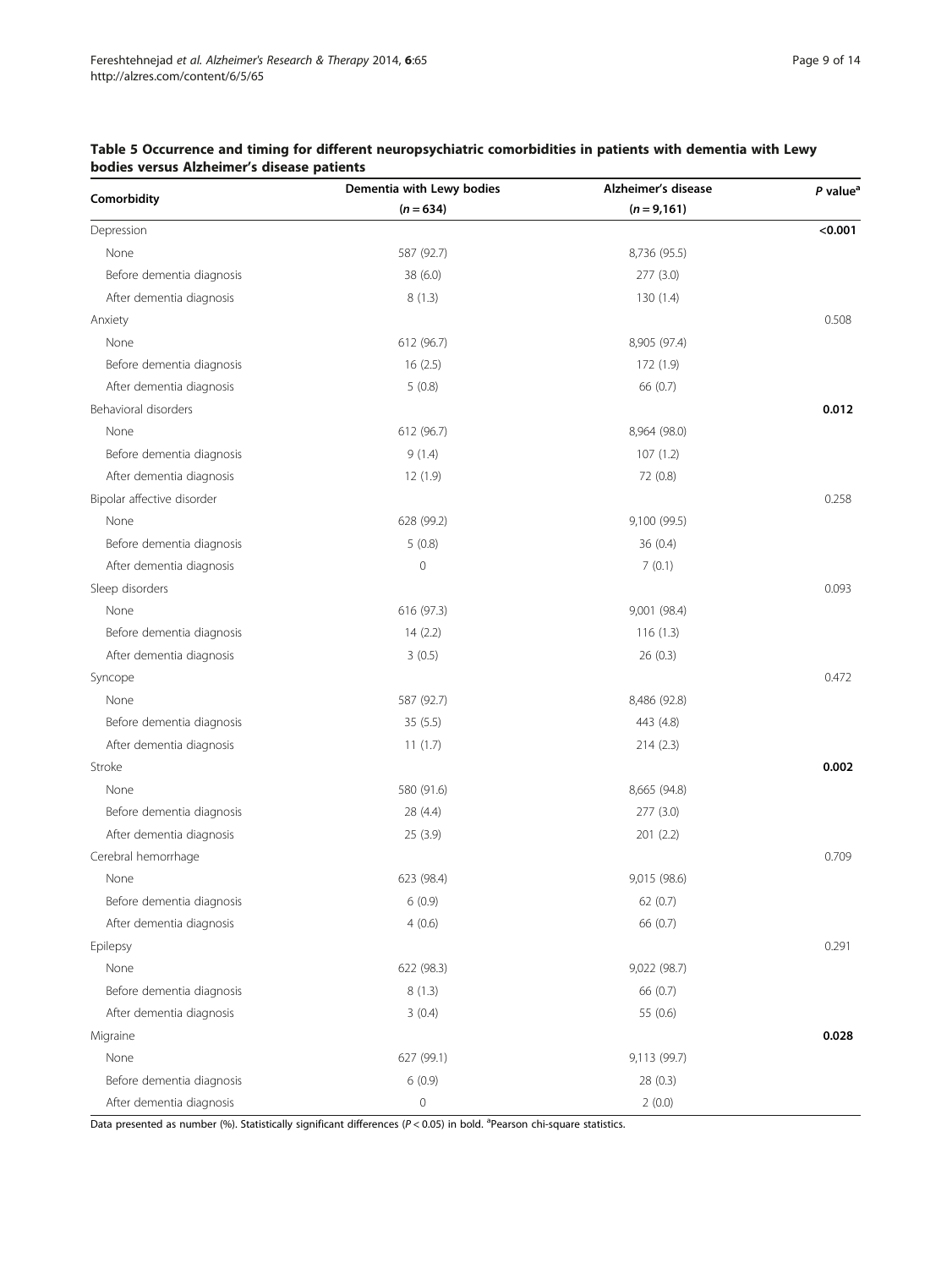|                            | Dementia with Lewy bodies | Alzheimer's disease | P value <sup>a</sup> |
|----------------------------|---------------------------|---------------------|----------------------|
| Comorbidity                | $(n = 634)$               | $(n = 9, 161)$      |                      |
| Depression                 |                           |                     | < 0.001              |
| None                       | 587 (92.7)                | 8,736 (95.5)        |                      |
| Before dementia diagnosis  | 38 (6.0)                  | 277 (3.0)           |                      |
| After dementia diagnosis   | 8(1.3)                    | 130 (1.4)           |                      |
| Anxiety                    |                           |                     | 0.508                |
| None                       | 612 (96.7)                | 8,905 (97.4)        |                      |
| Before dementia diagnosis  | 16(2.5)                   | 172 (1.9)           |                      |
| After dementia diagnosis   | 5(0.8)                    | 66 (0.7)            |                      |
| Behavioral disorders       |                           |                     | 0.012                |
| None                       | 612 (96.7)                | 8,964 (98.0)        |                      |
| Before dementia diagnosis  | 9(1.4)                    | 107(1.2)            |                      |
| After dementia diagnosis   | 12(1.9)                   | 72 (0.8)            |                      |
| Bipolar affective disorder |                           |                     | 0.258                |
| None                       | 628 (99.2)                | 9,100 (99.5)        |                      |
| Before dementia diagnosis  | 5(0.8)                    | 36(0.4)             |                      |
| After dementia diagnosis   | $\mathbf 0$               | 7(0.1)              |                      |
| Sleep disorders            |                           |                     | 0.093                |
| None                       | 616 (97.3)                | 9,001 (98.4)        |                      |
| Before dementia diagnosis  | 14(2.2)                   | 116(1.3)            |                      |
| After dementia diagnosis   | 3(0.5)                    | 26(0.3)             |                      |
| Syncope                    |                           |                     | 0.472                |
| None                       | 587 (92.7)                | 8,486 (92.8)        |                      |
| Before dementia diagnosis  | 35(5.5)                   | 443 (4.8)           |                      |
| After dementia diagnosis   | 11(1.7)                   | 214(2.3)            |                      |
| Stroke                     |                           |                     | 0.002                |
| None                       | 580 (91.6)                | 8,665 (94.8)        |                      |
| Before dementia diagnosis  | 28 (4.4)                  | 277 (3.0)           |                      |
| After dementia diagnosis   | 25(3.9)                   | 201 (2.2)           |                      |
| Cerebral hemorrhage        |                           |                     | 0.709                |
| None                       | 623 (98.4)                | 9,015 (98.6)        |                      |
| Before dementia diagnosis  | 6(0.9)                    | 62(0.7)             |                      |
| After dementia diagnosis   | 4(0.6)                    | 66 (0.7)            |                      |
| Epilepsy                   |                           |                     | 0.291                |
| None                       | 622 (98.3)                | 9,022 (98.7)        |                      |
| Before dementia diagnosis  | 8(1.3)                    | 66 (0.7)            |                      |
| After dementia diagnosis   | 3(0.4)                    | 55 (0.6)            |                      |
| Migraine                   |                           |                     | 0.028                |
| None                       | 627 (99.1)                | 9,113 (99.7)        |                      |
| Before dementia diagnosis  | 6(0.9)                    | 28 (0.3)            |                      |
| After dementia diagnosis   | $\mathsf{O}\xspace$       | 2(0.0)              |                      |

<span id="page-8-0"></span>Table 5 Occurrence and timing for different neuropsychiatric comorbidities in patients with dementia with Lewy bodies versus Alzheimer's disease patients

Data presented as number (%). Statistically significant differences (P < 0.05) in bold. <sup>a</sup>Pearson chi-square statistics.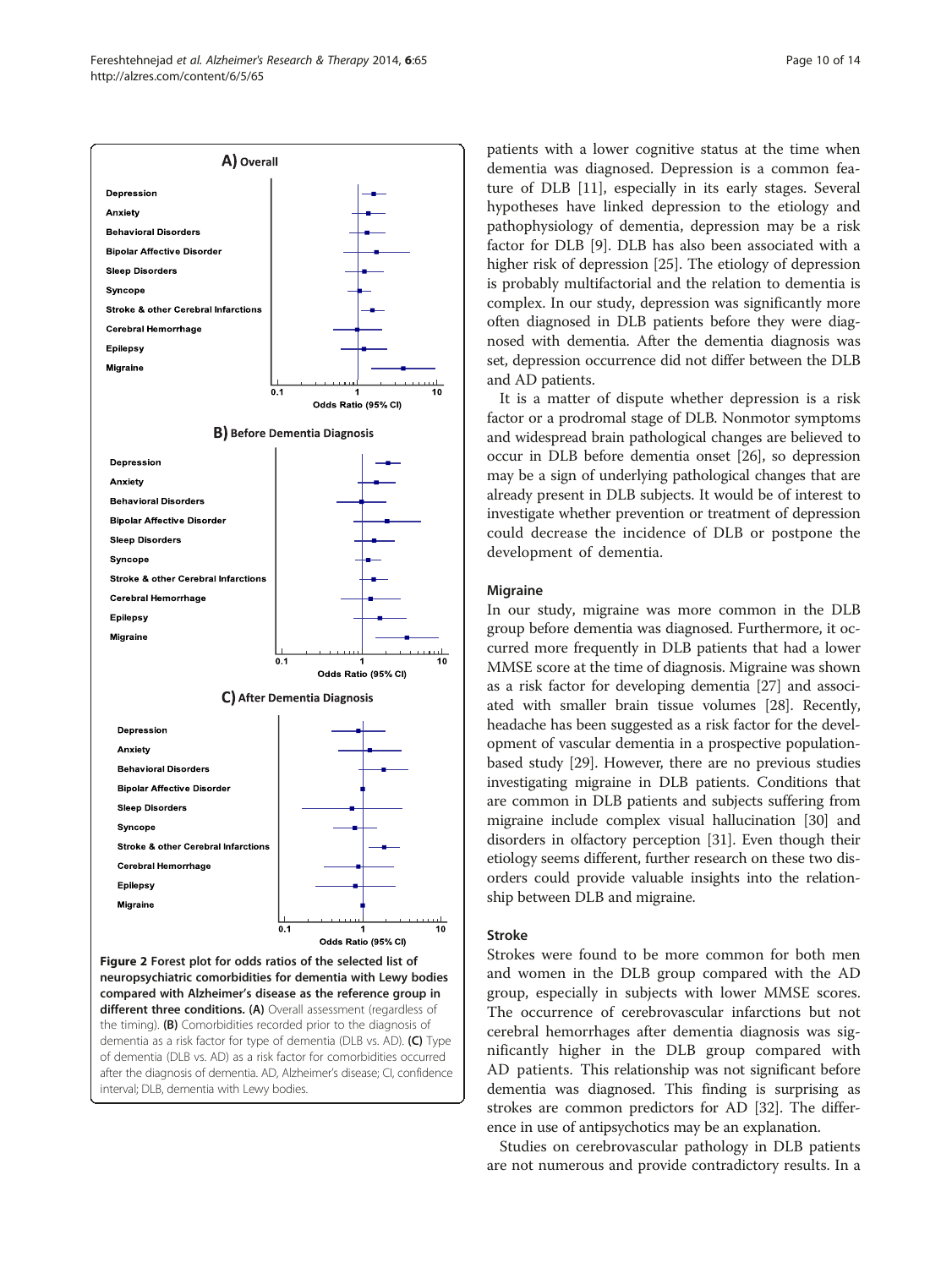<span id="page-9-0"></span>

dementia as a risk factor for type of dementia (DLB vs. AD). (C) Type of dementia (DLB vs. AD) as a risk factor for comorbidities occurred after the diagnosis of dementia. AD, Alzheimer's disease; CI, confidence interval; DLB, dementia with Lewy bodies.

patients with a lower cognitive status at the time when dementia was diagnosed. Depression is a common feature of DLB [[11\]](#page-12-0), especially in its early stages. Several hypotheses have linked depression to the etiology and pathophysiology of dementia, depression may be a risk factor for DLB [\[9](#page-12-0)]. DLB has also been associated with a higher risk of depression [\[25\]](#page-12-0). The etiology of depression is probably multifactorial and the relation to dementia is complex. In our study, depression was significantly more often diagnosed in DLB patients before they were diagnosed with dementia. After the dementia diagnosis was set, depression occurrence did not differ between the DLB and AD patients.

It is a matter of dispute whether depression is a risk factor or a prodromal stage of DLB. Nonmotor symptoms and widespread brain pathological changes are believed to occur in DLB before dementia onset [\[26\]](#page-12-0), so depression may be a sign of underlying pathological changes that are already present in DLB subjects. It would be of interest to investigate whether prevention or treatment of depression could decrease the incidence of DLB or postpone the development of dementia.

#### **Migraine**

In our study, migraine was more common in the DLB group before dementia was diagnosed. Furthermore, it occurred more frequently in DLB patients that had a lower MMSE score at the time of diagnosis. Migraine was shown as a risk factor for developing dementia [\[27\]](#page-12-0) and associated with smaller brain tissue volumes [[28](#page-12-0)]. Recently, headache has been suggested as a risk factor for the development of vascular dementia in a prospective populationbased study [\[29\]](#page-12-0). However, there are no previous studies investigating migraine in DLB patients. Conditions that are common in DLB patients and subjects suffering from migraine include complex visual hallucination [\[30\]](#page-12-0) and disorders in olfactory perception [[31](#page-12-0)]. Even though their etiology seems different, further research on these two disorders could provide valuable insights into the relationship between DLB and migraine.

#### Stroke

Strokes were found to be more common for both men and women in the DLB group compared with the AD group, especially in subjects with lower MMSE scores. The occurrence of cerebrovascular infarctions but not cerebral hemorrhages after dementia diagnosis was significantly higher in the DLB group compared with AD patients. This relationship was not significant before dementia was diagnosed. This finding is surprising as strokes are common predictors for AD [\[32\]](#page-12-0). The difference in use of antipsychotics may be an explanation.

Studies on cerebrovascular pathology in DLB patients are not numerous and provide contradictory results. In a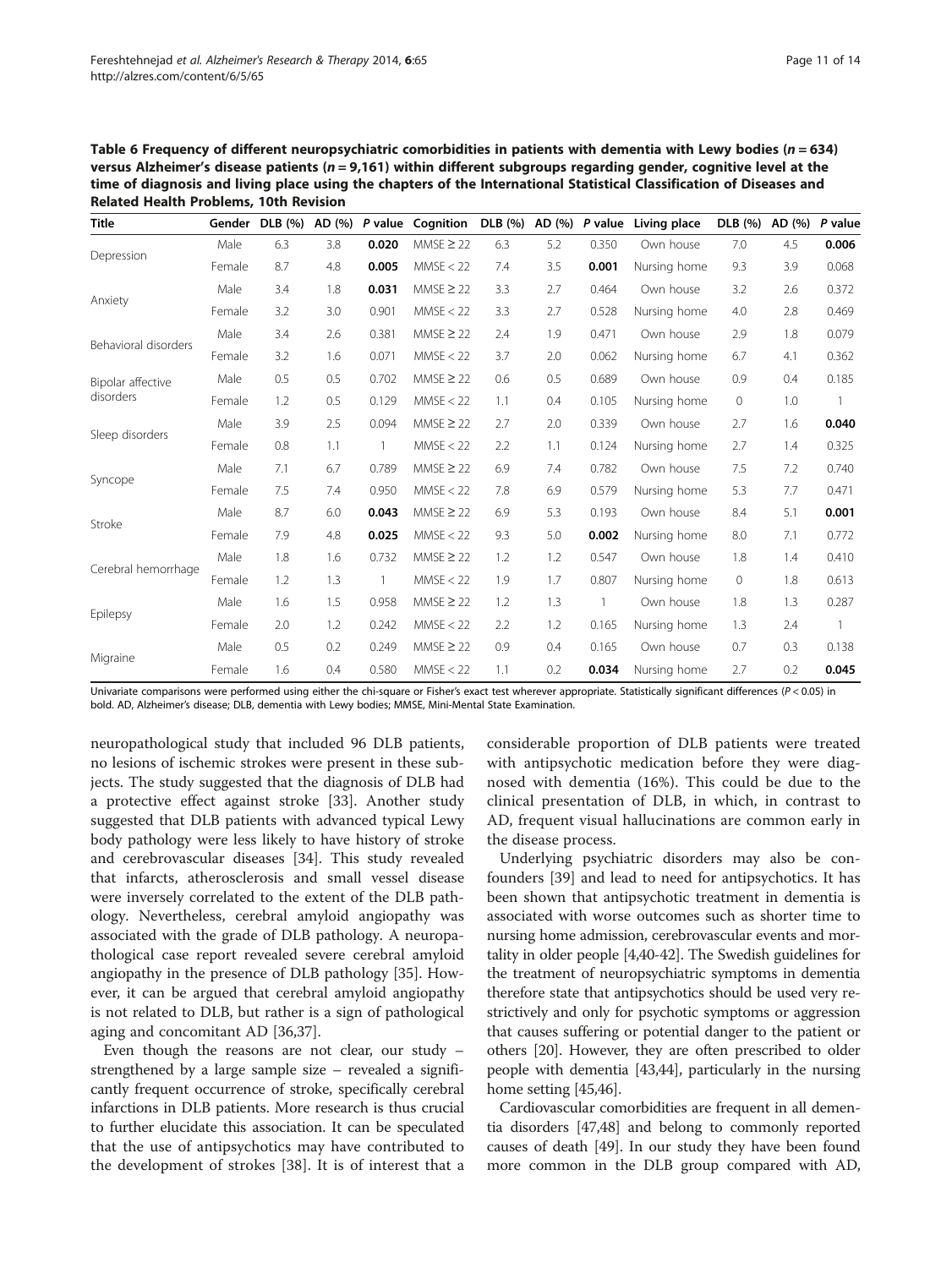<span id="page-10-0"></span>Table 6 Frequency of different neuropsychiatric comorbidities in patients with dementia with Lewy bodies ( $n = 634$ ) versus Alzheimer's disease patients ( $n = 9,161$ ) within different subgroups regarding gender, cognitive level at the time of diagnosis and living place using the chapters of the International Statistical Classification of Diseases and Related Health Problems, 10th Revision

| <b>Title</b>         | Gender | DLB (%) | AD (%) | P value | Cognition      | DLB (%) | AD (%) | P value | Living place | DLB (%) | AD (%) | P value      |
|----------------------|--------|---------|--------|---------|----------------|---------|--------|---------|--------------|---------|--------|--------------|
| Depression           | Male   | 6.3     | 3.8    | 0.020   | MMSE $\geq$ 22 | 6.3     | 5.2    | 0.350   | Own house    | 7.0     | 4.5    | 0.006        |
|                      | Female | 8.7     | 4.8    | 0.005   | MMSE < 22      | 7.4     | 3.5    | 0.001   | Nursing home | 9.3     | 3.9    | 0.068        |
|                      | Male   | 3.4     | 1.8    | 0.031   | MMSE $\geq$ 22 | 3.3     | 2.7    | 0.464   | Own house    | 3.2     | 2.6    | 0.372        |
| Anxiety              | Female | 3.2     | 3.0    | 0.901   | MMSE < 22      | 3.3     | 2.7    | 0.528   | Nursing home | 4.0     | 2.8    | 0.469        |
| Behavioral disorders | Male   | 3.4     | 2.6    | 0.381   | MMSE $\geq$ 22 | 2.4     | 1.9    | 0.471   | Own house    | 2.9     | 1.8    | 0.079        |
|                      | Female | 3.2     | 1.6    | 0.071   | MMSE < 22      | 3.7     | 2.0    | 0.062   | Nursing home | 6.7     | 4.1    | 0.362        |
| Bipolar affective    | Male   | 0.5     | 0.5    | 0.702   | MMSE $\geq$ 22 | 0.6     | 0.5    | 0.689   | Own house    | 0.9     | 0.4    | 0.185        |
| disorders            | Female | 1.2     | 0.5    | 0.129   | MMSE < 22      | 1.1     | 0.4    | 0.105   | Nursing home | $\circ$ | 1.0    | $\mathbf{1}$ |
| Sleep disorders      | Male   | 3.9     | 2.5    | 0.094   | MMSE $\geq$ 22 | 2.7     | 2.0    | 0.339   | Own house    | 2.7     | 1.6    | 0.040        |
|                      | Female | 0.8     | 1.1    | 1       | MMSE < 22      | 2.2     | 1.1    | 0.124   | Nursing home | 2.7     | 1.4    | 0.325        |
|                      | Male   | 7.1     | 6.7    | 0.789   | MMSE $\geq$ 22 | 6.9     | 7.4    | 0.782   | Own house    | 7.5     | 7.2    | 0.740        |
| Syncope              | Female | 7.5     | 7.4    | 0.950   | MMSE < 22      | 7.8     | 6.9    | 0.579   | Nursing home | 5.3     | 7.7    | 0.471        |
| Stroke               | Male   | 8.7     | 6.0    | 0.043   | MMSE $\geq$ 22 | 6.9     | 5.3    | 0.193   | Own house    | 8.4     | 5.1    | 0.001        |
|                      | Female | 7.9     | 4.8    | 0.025   | MMSE < 22      | 9.3     | 5.0    | 0.002   | Nursing home | 8.0     | 7.1    | 0.772        |
| Cerebral hemorrhage  | Male   | 1.8     | 1.6    | 0.732   | MMSE $\geq$ 22 | 1.2     | 1.2    | 0.547   | Own house    | 1.8     | 1.4    | 0.410        |
|                      | Female | 1.2     | 1.3    |         | MMSE < 22      | 1.9     | 1.7    | 0.807   | Nursing home | $\circ$ | 1.8    | 0.613        |
| Epilepsy             | Male   | 1.6     | 1.5    | 0.958   | MMSE $\geq$ 22 | 1.2     | 1.3    | -1      | Own house    | 1.8     | 1.3    | 0.287        |
|                      | Female | 2.0     | 1.2    | 0.242   | MMSE < 22      | 2.2     | 1.2    | 0.165   | Nursing home | 1.3     | 2.4    | $\mathbf{1}$ |
|                      | Male   | 0.5     | 0.2    | 0.249   | $MMSE \geq 22$ | 0.9     | 0.4    | 0.165   | Own house    | 0.7     | 0.3    | 0.138        |
| Migraine             | Female | 1.6     | 0.4    | 0.580   | MMSE < 22      | 1.1     | 0.2    | 0.034   | Nursing home | 2.7     | 0.2    | 0.045        |

Univariate comparisons were performed using either the chi-square or Fisher's exact test wherever appropriate. Statistically significant differences (P < 0.05) in bold. AD, Alzheimer's disease; DLB, dementia with Lewy bodies; MMSE, Mini-Mental State Examination.

neuropathological study that included 96 DLB patients, no lesions of ischemic strokes were present in these subjects. The study suggested that the diagnosis of DLB had a protective effect against stroke [\[33](#page-12-0)]. Another study suggested that DLB patients with advanced typical Lewy body pathology were less likely to have history of stroke and cerebrovascular diseases [[34](#page-12-0)]. This study revealed that infarcts, atherosclerosis and small vessel disease were inversely correlated to the extent of the DLB pathology. Nevertheless, cerebral amyloid angiopathy was associated with the grade of DLB pathology. A neuropathological case report revealed severe cerebral amyloid angiopathy in the presence of DLB pathology [\[35](#page-12-0)]. However, it can be argued that cerebral amyloid angiopathy is not related to DLB, but rather is a sign of pathological aging and concomitant AD [[36,37\]](#page-12-0).

Even though the reasons are not clear, our study – strengthened by a large sample size – revealed a significantly frequent occurrence of stroke, specifically cerebral infarctions in DLB patients. More research is thus crucial to further elucidate this association. It can be speculated that the use of antipsychotics may have contributed to the development of strokes [\[38](#page-12-0)]. It is of interest that a considerable proportion of DLB patients were treated with antipsychotic medication before they were diagnosed with dementia (16%). This could be due to the clinical presentation of DLB, in which, in contrast to AD, frequent visual hallucinations are common early in the disease process.

Underlying psychiatric disorders may also be confounders [\[39\]](#page-12-0) and lead to need for antipsychotics. It has been shown that antipsychotic treatment in dementia is associated with worse outcomes such as shorter time to nursing home admission, cerebrovascular events and mortality in older people [\[4,40-42\]](#page-12-0). The Swedish guidelines for the treatment of neuropsychiatric symptoms in dementia therefore state that antipsychotics should be used very restrictively and only for psychotic symptoms or aggression that causes suffering or potential danger to the patient or others [\[20\]](#page-12-0). However, they are often prescribed to older people with dementia [\[43,44\]](#page-13-0), particularly in the nursing home setting [\[45,46\]](#page-13-0).

Cardiovascular comorbidities are frequent in all dementia disorders [[47](#page-13-0),[48](#page-13-0)] and belong to commonly reported causes of death [\[49\]](#page-13-0). In our study they have been found more common in the DLB group compared with AD,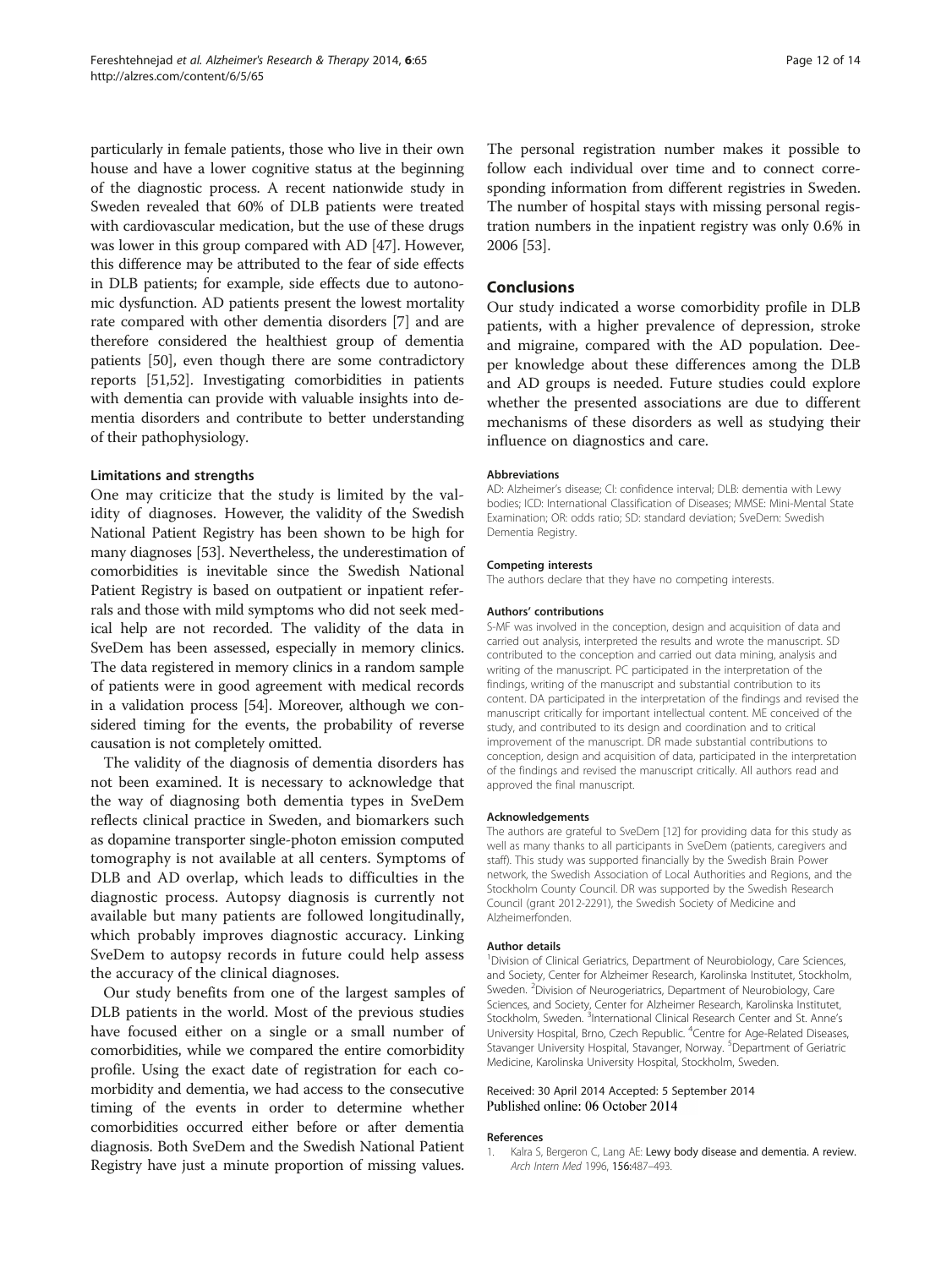<span id="page-11-0"></span>particularly in female patients, those who live in their own house and have a lower cognitive status at the beginning of the diagnostic process. A recent nationwide study in Sweden revealed that 60% of DLB patients were treated with cardiovascular medication, but the use of these drugs was lower in this group compared with AD [[47](#page-13-0)]. However, this difference may be attributed to the fear of side effects in DLB patients; for example, side effects due to autonomic dysfunction. AD patients present the lowest mortality rate compared with other dementia disorders [[7](#page-12-0)] and are therefore considered the healthiest group of dementia patients [[50](#page-13-0)], even though there are some contradictory reports [\[51,52\]](#page-13-0). Investigating comorbidities in patients with dementia can provide with valuable insights into dementia disorders and contribute to better understanding of their pathophysiology.

#### Limitations and strengths

One may criticize that the study is limited by the validity of diagnoses. However, the validity of the Swedish National Patient Registry has been shown to be high for many diagnoses [[53](#page-13-0)]. Nevertheless, the underestimation of comorbidities is inevitable since the Swedish National Patient Registry is based on outpatient or inpatient referrals and those with mild symptoms who did not seek medical help are not recorded. The validity of the data in SveDem has been assessed, especially in memory clinics. The data registered in memory clinics in a random sample of patients were in good agreement with medical records in a validation process [[54](#page-13-0)]. Moreover, although we considered timing for the events, the probability of reverse causation is not completely omitted.

The validity of the diagnosis of dementia disorders has not been examined. It is necessary to acknowledge that the way of diagnosing both dementia types in SveDem reflects clinical practice in Sweden, and biomarkers such as dopamine transporter single-photon emission computed tomography is not available at all centers. Symptoms of DLB and AD overlap, which leads to difficulties in the diagnostic process. Autopsy diagnosis is currently not available but many patients are followed longitudinally, which probably improves diagnostic accuracy. Linking SveDem to autopsy records in future could help assess the accuracy of the clinical diagnoses.

Our study benefits from one of the largest samples of DLB patients in the world. Most of the previous studies have focused either on a single or a small number of comorbidities, while we compared the entire comorbidity profile. Using the exact date of registration for each comorbidity and dementia, we had access to the consecutive timing of the events in order to determine whether comorbidities occurred either before or after dementia diagnosis. Both SveDem and the Swedish National Patient Registry have just a minute proportion of missing values.

The personal registration number makes it possible to follow each individual over time and to connect corresponding information from different registries in Sweden. The number of hospital stays with missing personal registration numbers in the inpatient registry was only 0.6% in 2006 [[53](#page-13-0)].

# Conclusions

Our study indicated a worse comorbidity profile in DLB patients, with a higher prevalence of depression, stroke and migraine, compared with the AD population. Deeper knowledge about these differences among the DLB and AD groups is needed. Future studies could explore whether the presented associations are due to different mechanisms of these disorders as well as studying their influence on diagnostics and care.

#### Abbreviations

AD: Alzheimer's disease; CI: confidence interval; DLB: dementia with Lewy bodies; ICD: International Classification of Diseases; MMSE: Mini-Mental State Examination; OR: odds ratio; SD: standard deviation; SveDem: Swedish Dementia Registry.

#### Competing interests

The authors declare that they have no competing interests.

#### Authors' contributions

S-MF was involved in the conception, design and acquisition of data and carried out analysis, interpreted the results and wrote the manuscript. SD contributed to the conception and carried out data mining, analysis and writing of the manuscript. PC participated in the interpretation of the findings, writing of the manuscript and substantial contribution to its content. DA participated in the interpretation of the findings and revised the manuscript critically for important intellectual content. ME conceived of the study, and contributed to its design and coordination and to critical improvement of the manuscript. DR made substantial contributions to conception, design and acquisition of data, participated in the interpretation of the findings and revised the manuscript critically. All authors read and approved the final manuscript.

#### Acknowledgements

The authors are grateful to SveDem [[12](#page-12-0)] for providing data for this study as well as many thanks to all participants in SveDem (patients, caregivers and staff). This study was supported financially by the Swedish Brain Power network, the Swedish Association of Local Authorities and Regions, and the Stockholm County Council. DR was supported by the Swedish Research Council (grant 2012-2291), the Swedish Society of Medicine and Alzheimerfonden.

#### Author details

<sup>1</sup> Division of Clinical Geriatrics, Department of Neurobiology, Care Sciences, and Society, Center for Alzheimer Research, Karolinska Institutet, Stockholm, Sweden. <sup>2</sup> Division of Neurogeriatrics, Department of Neurobiology, Care Sciences, and Society, Center for Alzheimer Research, Karolinska Institutet, Stockholm, Sweden. <sup>3</sup>International Clinical Research Center and St. Anne's University Hospital, Brno, Czech Republic. <sup>4</sup>Centre for Age-Related Diseases, Stavanger University Hospital, Stavanger, Norway. <sup>5</sup>Department of Geriatric Medicine, Karolinska University Hospital, Stockholm, Sweden.

#### Received: 30 April 2014 Accepted: 5 September 2014 Published online: 06 October 2014

#### References

1. Kalra S, Bergeron C, Lang AE: Lewy body disease and dementia. A review. Arch Intern Med 1996, 156:487–493.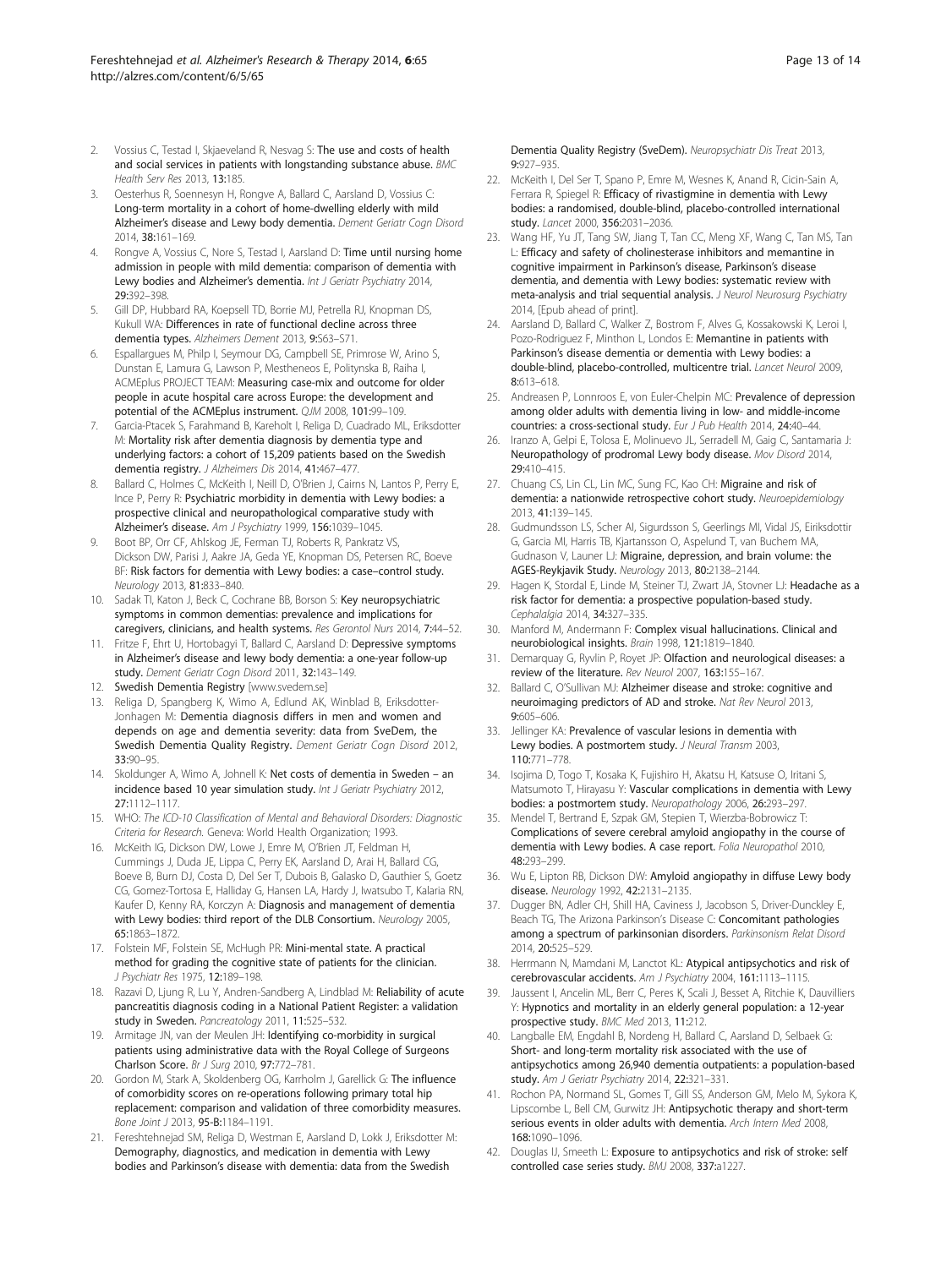- <span id="page-12-0"></span>Vossius C, Testad I, Skjaeveland R, Nesvag S: The use and costs of health and social services in patients with longstanding substance abuse. BMC Health Serv Res 2013, 13:185.
- 3. Oesterhus R, Soennesyn H, Rongve A, Ballard C, Aarsland D, Vossius C: Long-term mortality in a cohort of home-dwelling elderly with mild Alzheimer's disease and Lewy body dementia. Dement Geriatr Cogn Disord 2014, 38:161–169.
- 4. Rongve A, Vossius C, Nore S, Testad I, Aarsland D: Time until nursing home admission in people with mild dementia: comparison of dementia with Lewy bodies and Alzheimer's dementia. Int J Geriatr Psychiatry 2014, 29:392–398.
- 5. Gill DP, Hubbard RA, Koepsell TD, Borrie MJ, Petrella RJ, Knopman DS, Kukull WA: Differences in rate of functional decline across three dementia types. Alzheimers Dement 2013, 9:S63–S71.
- Espallargues M, Philp I, Seymour DG, Campbell SE, Primrose W, Arino S, Dunstan E, Lamura G, Lawson P, Mestheneos E, Politynska B, Raiha I, ACMEplus PROJECT TEAM: Measuring case-mix and outcome for older people in acute hospital care across Europe: the development and potential of the ACMEplus instrument. QJM 2008, 101:99–109.
- 7. Garcia-Ptacek S, Farahmand B, Kareholt I, Religa D, Cuadrado ML, Eriksdotter M: Mortality risk after dementia diagnosis by dementia type and underlying factors: a cohort of 15,209 patients based on the Swedish dementia registry. J Alzheimers Dis 2014, 41:467–477.
- Ballard C, Holmes C, McKeith I, Neill D, O'Brien J, Cairns N, Lantos P, Perry E, Ince P, Perry R: Psychiatric morbidity in dementia with Lewy bodies: a prospective clinical and neuropathological comparative study with Alzheimer's disease. Am J Psychiatry 1999, 156:1039–1045.
- 9. Boot BP, Orr CF, Ahlskog JE, Ferman TJ, Roberts R, Pankratz VS, Dickson DW, Parisi J, Aakre JA, Geda YE, Knopman DS, Petersen RC, Boeve BF: Risk factors for dementia with Lewy bodies: a case–control study. Neurology 2013, 81:833–840.
- 10. Sadak TI, Katon J, Beck C, Cochrane BB, Borson S: Key neuropsychiatric symptoms in common dementias: prevalence and implications for caregivers, clinicians, and health systems. Res Gerontol Nurs 2014, 7:44–52.
- 11. Fritze F, Ehrt U, Hortobagyi T, Ballard C, Aarsland D: Depressive symptoms in Alzheimer's disease and lewy body dementia: a one-year follow-up study. Dement Geriatr Cogn Disord 2011, 32:143–149.
- 12. Swedish Dementia Registry [\[www.svedem.se](http://www.svedem.se)]
- 13. Religa D, Spangberg K, Wimo A, Edlund AK, Winblad B, Eriksdotter-Jonhagen M: Dementia diagnosis differs in men and women and depends on age and dementia severity: data from SveDem, the Swedish Dementia Quality Registry. Dement Geriatr Cogn Disord 2012, 33:90–95.
- 14. Skoldunger A, Wimo A, Johnell K: Net costs of dementia in Sweden an incidence based 10 year simulation study. Int J Geriatr Psychiatry 2012, 27:1112–1117.
- 15. WHO: The ICD-10 Classification of Mental and Behavioral Disorders: Diagnostic Criteria for Research. Geneva: World Health Organization; 1993.
- 16. McKeith IG, Dickson DW, Lowe J, Emre M, O'Brien JT, Feldman H, Cummings J, Duda JE, Lippa C, Perry EK, Aarsland D, Arai H, Ballard CG, Boeve B, Burn DJ, Costa D, Del Ser T, Dubois B, Galasko D, Gauthier S, Goetz CG, Gomez-Tortosa E, Halliday G, Hansen LA, Hardy J, Iwatsubo T, Kalaria RN, Kaufer D, Kenny RA, Korczyn A: Diagnosis and management of dementia with Lewy bodies: third report of the DLB Consortium. Neurology 2005, 65:1863–1872.
- 17. Folstein MF, Folstein SE, McHugh PR: Mini-mental state. A practical method for grading the cognitive state of patients for the clinician. J Psychiatr Res 1975, 12:189–198.
- 18. Razavi D, Ljung R, Lu Y, Andren-Sandberg A, Lindblad M: Reliability of acute pancreatitis diagnosis coding in a National Patient Register: a validation study in Sweden. Pancreatology 2011, 11:525-532.
- 19. Armitage JN, van der Meulen JH: Identifying co-morbidity in surgical patients using administrative data with the Royal College of Surgeons Charlson Score. Br J Surg 2010, 97:772–781.
- 20. Gordon M, Stark A, Skoldenberg OG, Karrholm J, Garellick G: The influence of comorbidity scores on re-operations following primary total hip replacement: comparison and validation of three comorbidity measures. Bone Joint J 2013, 95-B:1184–1191.
- 21. Fereshtehnejad SM, Religa D, Westman E, Aarsland D, Lokk J, Eriksdotter M: Demography, diagnostics, and medication in dementia with Lewy bodies and Parkinson's disease with dementia: data from the Swedish
- 22. McKeith I, Del Ser T, Spano P, Emre M, Wesnes K, Anand R, Cicin-Sain A, Ferrara R, Spiegel R: Efficacy of rivastigmine in dementia with Lewy bodies: a randomised, double-blind, placebo-controlled international study. Lancet 2000, 356:2031–2036.
- 23. Wang HF, Yu JT, Tang SW, Jiang T, Tan CC, Meng XF, Wang C, Tan MS, Tan L: Efficacy and safety of cholinesterase inhibitors and memantine in cognitive impairment in Parkinson's disease, Parkinson's disease dementia, and dementia with Lewy bodies: systematic review with meta-analysis and trial sequential analysis. J Neurol Neurosurg Psychiatry 2014, [Epub ahead of print].
- 24. Aarsland D, Ballard C, Walker Z, Bostrom F, Alves G, Kossakowski K, Leroi I, Pozo-Rodriguez F, Minthon L, Londos E: Memantine in patients with Parkinson's disease dementia or dementia with Lewy bodies: a double-blind, placebo-controlled, multicentre trial. Lancet Neurol 2009, 8:613–618.
- 25. Andreasen P, Lonnroos E, von Euler-Chelpin MC: Prevalence of depression among older adults with dementia living in low- and middle-income countries: a cross-sectional study. Eur J Pub Health 2014, 24:40–44.
- 26. Iranzo A, Gelpi E, Tolosa E, Molinuevo JL, Serradell M, Gaig C, Santamaria J: Neuropathology of prodromal Lewy body disease. Mov Disord 2014, 29:410–415.
- 27. Chuang CS, Lin CL, Lin MC, Sung FC, Kao CH: Migraine and risk of dementia: a nationwide retrospective cohort study. Neuroepidemiology 2013, 41:139–145.
- 28. Gudmundsson LS, Scher AI, Sigurdsson S, Geerlings MI, Vidal JS, Eiriksdottir G, Garcia MI, Harris TB, Kjartansson O, Aspelund T, van Buchem MA, Gudnason V, Launer LJ: Migraine, depression, and brain volume: the AGES-Reykjavik Study. Neurology 2013, 80:2138–2144.
- 29. Hagen K, Stordal E, Linde M, Steiner TJ, Zwart JA, Stovner LJ: Headache as a risk factor for dementia: a prospective population-based study. Cephalalgia 2014, 34:327–335.
- 30. Manford M, Andermann F: Complex visual hallucinations. Clinical and neurobiological insights. Brain 1998, 121:1819–1840.
- 31. Demarquay G, Ryvlin P, Royet JP: Olfaction and neurological diseases: a review of the literature. Rev Neurol 2007, 163:155–167.
- 32. Ballard C, O'Sullivan MJ: Alzheimer disease and stroke: cognitive and neuroimaging predictors of AD and stroke. Nat Rev Neurol 2013, 9:605–606.
- 33. Jellinger KA: Prevalence of vascular lesions in dementia with Lewy bodies. A postmortem study. J Neural Transm 2003, 110:771–778.
- 34. Isojima D, Togo T, Kosaka K, Fujishiro H, Akatsu H, Katsuse O, Iritani S, Matsumoto T, Hirayasu Y: Vascular complications in dementia with Lewy bodies: a postmortem study. Neuropathology 2006, 26:293–297.
- 35. Mendel T, Bertrand E, Szpak GM, Stepien T, Wierzba-Bobrowicz T: Complications of severe cerebral amyloid angiopathy in the course of dementia with Lewy bodies. A case report. Folia Neuropathol 2010, 48:293–299.
- 36. Wu E, Lipton RB, Dickson DW: Amyloid angiopathy in diffuse Lewy body disease. Neurology 1992, 42:2131–2135.
- 37. Dugger BN, Adler CH, Shill HA, Caviness J, Jacobson S, Driver-Dunckley E, Beach TG, The Arizona Parkinson's Disease C: Concomitant pathologies among a spectrum of parkinsonian disorders. Parkinsonism Relat Disord 2014, 20:525–529.
- Herrmann N, Mamdani M, Lanctot KL: Atypical antipsychotics and risk of cerebrovascular accidents. Am J Psychiatry 2004, 161:1113-1115.
- 39. Jaussent I, Ancelin ML, Berr C, Peres K, Scali J, Besset A, Ritchie K, Dauvilliers Y: Hypnotics and mortality in an elderly general population: a 12-year prospective study. BMC Med 2013, 11:212.
- 40. Langballe EM, Engdahl B, Nordeng H, Ballard C, Aarsland D, Selbaek G: Short- and long-term mortality risk associated with the use of antipsychotics among 26,940 dementia outpatients: a population-based study. Am J Geriatr Psychiatry 2014, 22:321-331.
- 41. Rochon PA, Normand SL, Gomes T, Gill SS, Anderson GM, Melo M, Sykora K, Lipscombe L, Bell CM, Gurwitz JH: Antipsychotic therapy and short-term serious events in older adults with dementia. Arch Intern Med 2008, 168:1090–1096.
- 42. Douglas IJ, Smeeth L: Exposure to antipsychotics and risk of stroke: self controlled case series study. BMJ 2008, 337:a1227.